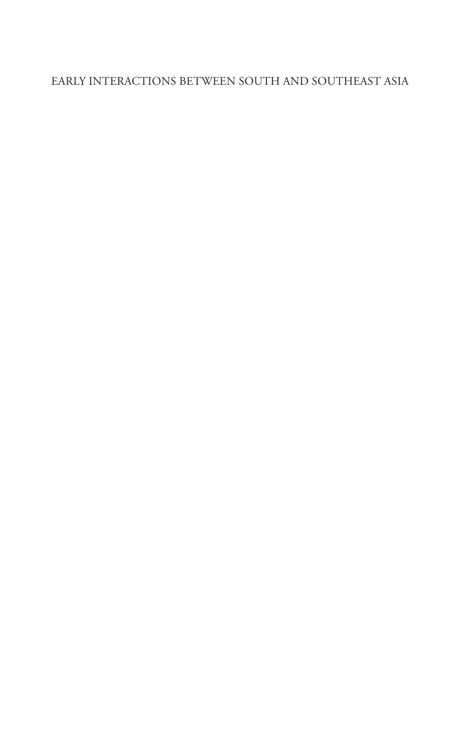### Early Interactions between South and Southeast Asia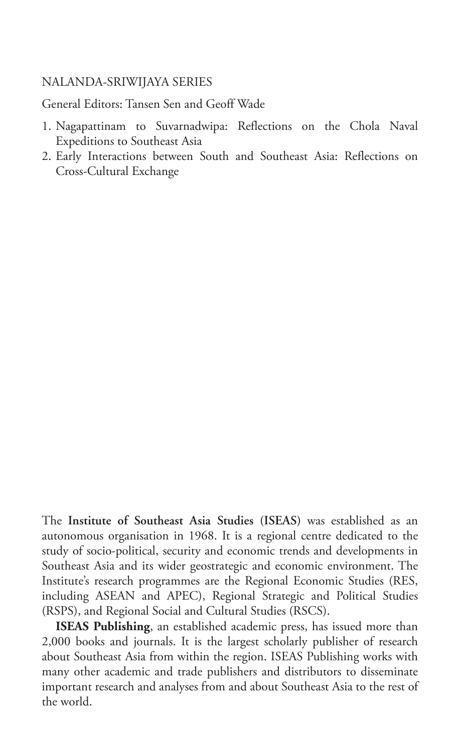#### NALANDA-SRIWIJAYA SERIES

General Editors: Tansen Sen and Geoff Wade

- 1. Nagapattinam to Suvarnadwipa: Reflections on the Chola Naval Expeditions to Southeast Asia
- 2. Early Interactions between South and Southeast Asia: Reflections on Cross-Cultural Exchange

The **Institute of Southeast Asia Studies (ISEAS)** was established as an autonomous organisation in 1968. It is a regional centre dedicated to the study of socio-political, security and economic trends and developments in Southeast Asia and its wider geostrategic and economic environment. The Institute's research programmes are the Regional Economic Studies (RES, including ASEAN and APEC), Regional Strategic and Political Studies (RSPS), and Regional Social and Cultural Studies (RSCS).

**ISEAS Publishing**, an established academic press, has issued more than 2,000 books and journals. It is the largest scholarly publisher of research about Southeast Asia from within the region. ISEAS Publishing works with many other academic and trade publishers and distributors to disseminate important research and analyses from and about Southeast Asia to the rest of the world.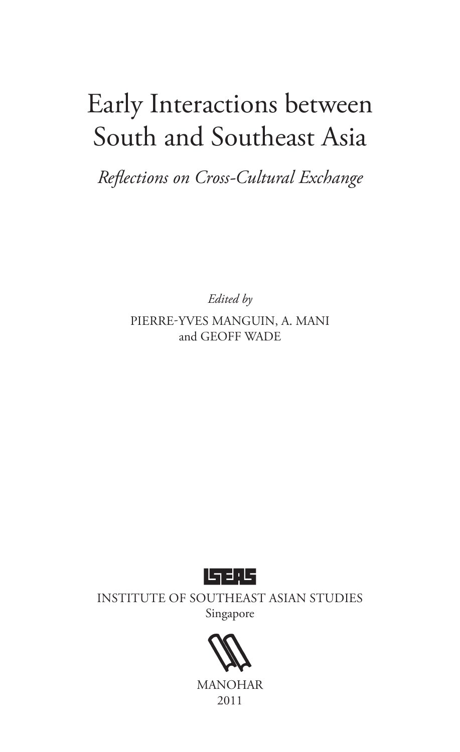# Early Interactions between South and Southeast Asia

*Reflections on Cross-Cultural Exchange*

*Edited by*

Pierre-Yves MANGUIN, A. MANI and GEOFF WADE



Institute of Southeast Asian Studies Singapore



MANOHAR 2011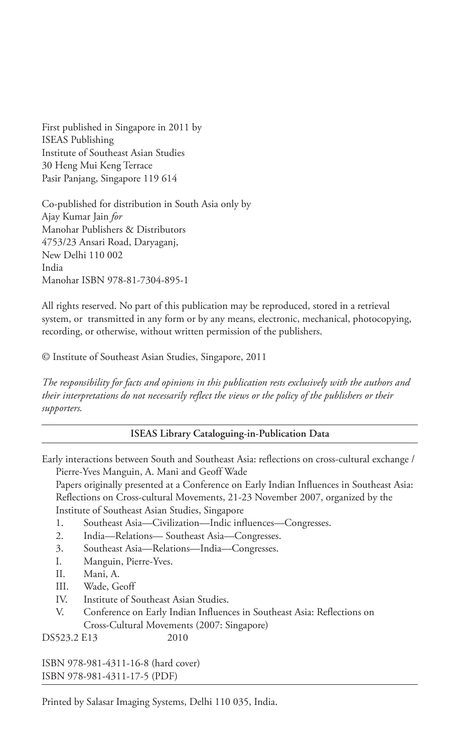First published in Singapore in 2011 by ISEAS Publishing Institute of Southeast Asian Studies 30 Heng Mui Keng Terrace Pasir Panjang, Singapore 119 614

Co-published for distribution in South Asia only by Ajay Kumar Jain *for* Manohar Publishers & Distributors 4753/23 Ansari Road, Daryaganj, New Delhi 110 002 India Manohar ISBN 978-81-7304-895-1

All rights reserved. No part of this publication may be reproduced, stored in a retrieval system, or transmitted in any form or by any means, electronic, mechanical, photocopying, recording, or otherwise, without written permission of the publishers.

© Institute of Southeast Asian Studies, Singapore, 2011

*The responsibility for facts and opinions in this publication rests exclusively with the authors and their interpretations do not necessarily reflect the views or the policy of the publishers or their supporters.*

#### **ISEAS Library Cataloguing-in-Publication Data**

Early interactions between South and Southeast Asia: reflections on cross-cultural exchange / Pierre-Yves Manguin, A. Mani and Geoff Wade

Papers originally presented at a Conference on Early Indian Influences in Southeast Asia: Reflections on Cross-cultural Movements, 21-23 November 2007, organized by the Institute of Southeast Asian Studies, Singapore

- 1. Southeast Asia—Civilization—Indic influences—Congresses.
- 2. India—Relations— Southeast Asia—Congresses.
- 3. Southeast Asia—Relations—India—Congresses.
- I. Manguin, Pierre-Yves.
- II. Mani, A.
- III. Wade, Geoff
- IV. Institute of Southeast Asian Studies.
- V. Conference on Early Indian Influences in Southeast Asia: Reflections on Cross-Cultural Movements (2007: Singapore)

DS523.2 E13 2010

ISBN 978-981-4311-16-8 (hard cover) ISBN 978-981-4311-17-5 (PDF)

Printed by Salasar Imaging Systems, Delhi 110 035, India.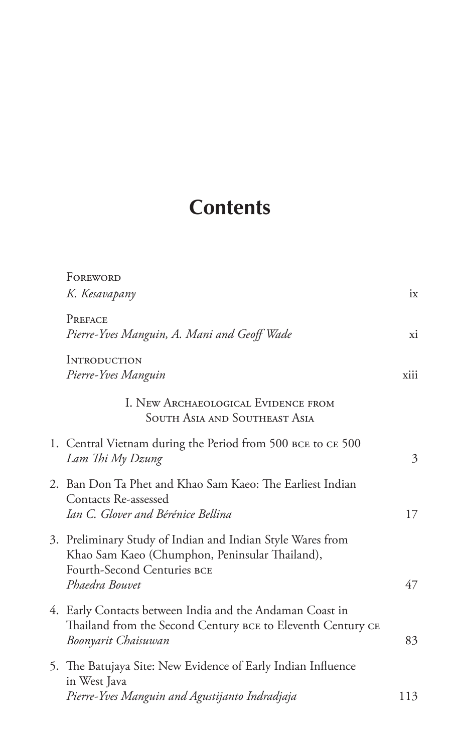# **Contents**

| FOREWORD                                                                                                                                       |                                                                  |
|------------------------------------------------------------------------------------------------------------------------------------------------|------------------------------------------------------------------|
| K. Kesavapany                                                                                                                                  | ix                                                               |
| PREFACE<br>Pierre-Yves Manguin, A. Mani and Geoff Wade                                                                                         | xi                                                               |
| <b>INTRODUCTION</b><br>Pierre-Yves Manguin                                                                                                     | xiii                                                             |
| I. NEW ARCHAEOLOGICAL EVIDENCE FROM<br><b>SOUTH ASIA AND SOUTHEAST ASIA</b>                                                                    |                                                                  |
| 1. Central Vietnam during the Period from 500 BCE to CE 500<br>Lam Thi My Dzung                                                                | 3                                                                |
| 2. Ban Don Ta Phet and Khao Sam Kaeo: The Earliest Indian<br>Contacts Re-assessed<br>Ian C. Glover and Bérénice Bellina                        | 17                                                               |
| 3. Preliminary Study of Indian and Indian Style Wares from<br>Khao Sam Kaeo (Chumphon, Peninsular Thailand),<br>Fourth-Second Centuries BCE    | 47                                                               |
| 4. Early Contacts between India and the Andaman Coast in<br>Thailand from the Second Century BCE to Eleventh Century CE<br>Boonyarit Chaisuwan | 83                                                               |
| 5. The Batujaya Site: New Evidence of Early Indian Influence<br>in West Java                                                                   | 113                                                              |
|                                                                                                                                                | Phaedra Bouvet<br>Pierre-Yves Manguin and Agustijanto Indradjaja |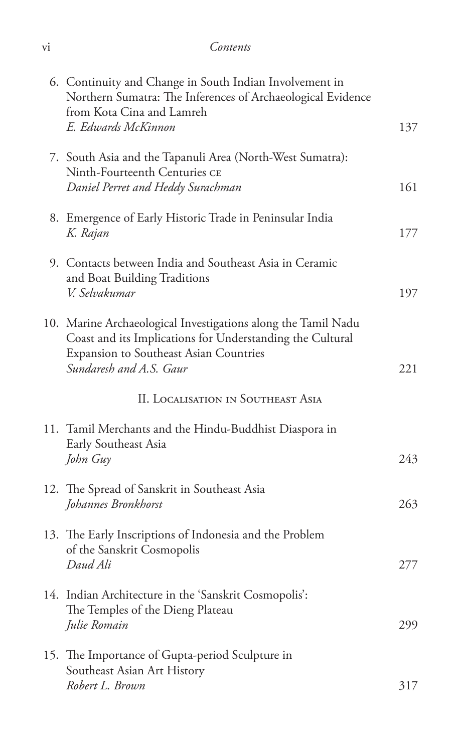| V1 | Contents |
|----|----------|
|    |          |

| 6. Continuity and Change in South Indian Involvement in<br>Northern Sumatra: The Inferences of Archaeological Evidence<br>from Kota Cina and Lamreh<br>E. Edwards McKinnon                      | 137 |
|-------------------------------------------------------------------------------------------------------------------------------------------------------------------------------------------------|-----|
| 7. South Asia and the Tapanuli Area (North-West Sumatra):<br>Ninth-Fourteenth Centuries CE<br>Daniel Perret and Heddy Surachman                                                                 | 161 |
| 8. Emergence of Early Historic Trade in Peninsular India<br>K. Rajan                                                                                                                            | 177 |
| 9. Contacts between India and Southeast Asia in Ceramic<br>and Boat Building Traditions<br>V. Selvakumar                                                                                        | 197 |
| 10. Marine Archaeological Investigations along the Tamil Nadu<br>Coast and its Implications for Understanding the Cultural<br>Expansion to Southeast Asian Countries<br>Sundaresh and A.S. Gaur | 221 |
| <b>II. LOCALISATION IN SOUTHEAST ASIA</b>                                                                                                                                                       |     |
| 11. Tamil Merchants and the Hindu-Buddhist Diaspora in<br>Early Southeast Asia<br>John Guy                                                                                                      | 243 |
| 12. The Spread of Sanskrit in Southeast Asia<br>Johannes Bronkhorst                                                                                                                             | 263 |
| 13. The Early Inscriptions of Indonesia and the Problem<br>of the Sanskrit Cosmopolis<br>Daud Ali                                                                                               | 277 |
| 14. Indian Architecture in the 'Sanskrit Cosmopolis':<br>The Temples of the Dieng Plateau<br>Julie Romain                                                                                       | 299 |
| 15. The Importance of Gupta-period Sculpture in<br>Southeast Asian Art History<br>Robert L. Brown                                                                                               | 317 |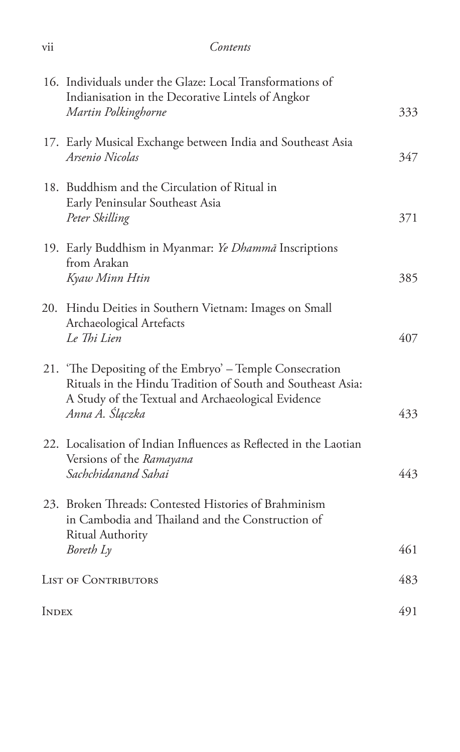|              | 16. Individuals under the Glaze: Local Transformations of<br>Indianisation in the Decorative Lintels of Angkor<br>Martin Polkinghorne                                                            | 333 |
|--------------|--------------------------------------------------------------------------------------------------------------------------------------------------------------------------------------------------|-----|
|              | 17. Early Musical Exchange between India and Southeast Asia<br>Arsenio Nicolas                                                                                                                   | 347 |
|              | 18. Buddhism and the Circulation of Ritual in<br>Early Peninsular Southeast Asia<br>Peter Skilling                                                                                               | 371 |
|              | 19. Early Buddhism in Myanmar: Ye Dhammā Inscriptions<br>from Arakan<br>Kyaw Minn Htin                                                                                                           | 385 |
|              | 20. Hindu Deities in Southern Vietnam: Images on Small<br>Archaeological Artefacts<br>Le Thi Lien                                                                                                | 407 |
|              | 21. 'The Depositing of the Embryo' – Temple Consecration<br>Rituals in the Hindu Tradition of South and Southeast Asia:<br>A Study of the Textual and Archaeological Evidence<br>Anna A. Ślączka | 433 |
|              | 22. Localisation of Indian Influences as Reflected in the Laotian<br>Versions of the Ramayana<br>Sachchidanand Sahai                                                                             | 443 |
|              | 23. Broken Threads: Contested Histories of Brahminism<br>in Cambodia and Thailand and the Construction of<br>Ritual Authority                                                                    |     |
|              | Boreth Ly                                                                                                                                                                                        | 461 |
|              | <b>LIST OF CONTRIBUTORS</b>                                                                                                                                                                      | 483 |
| <b>INDEX</b> |                                                                                                                                                                                                  | 491 |

vii *Contents*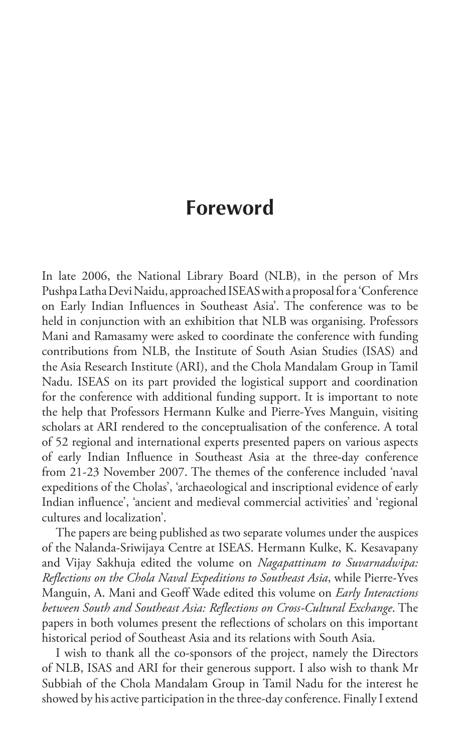### **Foreword**

In late 2006, the National Library Board (NLB), in the person of Mrs Pushpa Latha Devi Naidu, approached ISEAS with a proposal for a 'Conference on Early Indian Influences in Southeast Asia'. The conference was to be held in conjunction with an exhibition that NLB was organising. Professors Mani and Ramasamy were asked to coordinate the conference with funding contributions from NLB, the Institute of South Asian Studies (ISAS) and the Asia Research Institute (ARI), and the Chola Mandalam Group in Tamil Nadu. ISEAS on its part provided the logistical support and coordination for the conference with additional funding support. It is important to note the help that Professors Hermann Kulke and Pierre-Yves Manguin, visiting scholars at ARI rendered to the conceptualisation of the conference. A total of 52 regional and international experts presented papers on various aspects of early Indian Influence in Southeast Asia at the three-day conference from 21-23 November 2007. The themes of the conference included 'naval expeditions of the Cholas', 'archaeological and inscriptional evidence of early Indian influence', 'ancient and medieval commercial activities' and 'regional cultures and localization'.

The papers are being published as two separate volumes under the auspices of the Nalanda-Sriwijaya Centre at ISEAS. Hermann Kulke, K. Kesavapany and Vijay Sakhuja edited the volume on *Nagapattinam to Suvarnadwipa: Reflections on the Chola Naval Expeditions to Southeast Asia*, while Pierre-Yves Manguin, A. Mani and Geoff Wade edited this volume on *Early Interactions between South and Southeast Asia: Reflections on Cross-Cultural Exchange*. The papers in both volumes present the reflections of scholars on this important historical period of Southeast Asia and its relations with South Asia.

I wish to thank all the co-sponsors of the project, namely the Directors of NLB, ISAS and ARI for their generous support. I also wish to thank Mr Subbiah of the Chola Mandalam Group in Tamil Nadu for the interest he showed by his active participation in the three-day conference. Finally I extend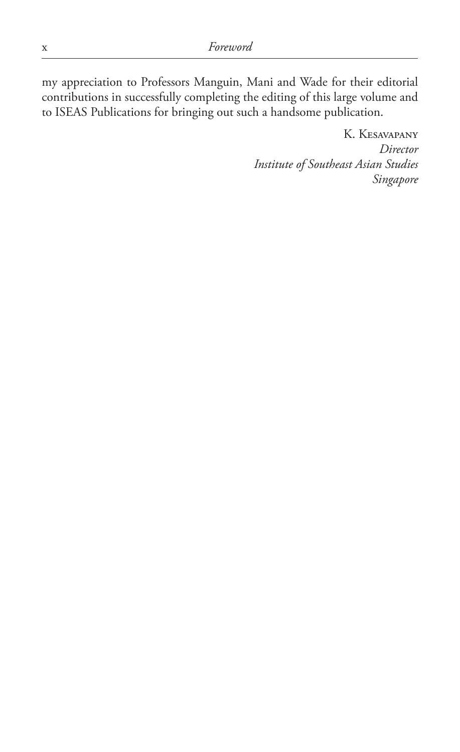my appreciation to Professors Manguin, Mani and Wade for their editorial contributions in successfully completing the editing of this large volume and to ISEAS Publications for bringing out such a handsome publication.

> K. Kesavapany *Director Institute of Southeast Asian Studies Singapore*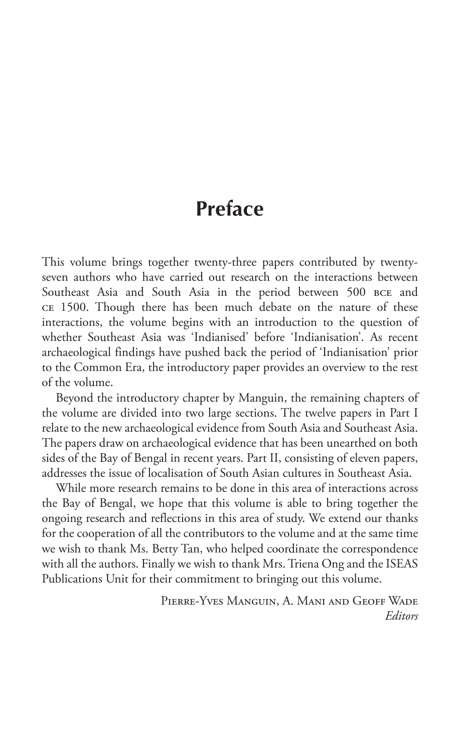## **Preface**

This volume brings together twenty-three papers contributed by twentyseven authors who have carried out research on the interactions between Southeast Asia and South Asia in the period between 500 BCE and ce 1500. Though there has been much debate on the nature of these interactions, the volume begins with an introduction to the question of whether Southeast Asia was 'Indianised' before 'Indianisation'. As recent archaeological findings have pushed back the period of 'Indianisation' prior to the Common Era, the introductory paper provides an overview to the rest of the volume.

Beyond the introductory chapter by Manguin, the remaining chapters of the volume are divided into two large sections. The twelve papers in Part I relate to the new archaeological evidence from South Asia and Southeast Asia. The papers draw on archaeological evidence that has been unearthed on both sides of the Bay of Bengal in recent years. Part II, consisting of eleven papers, addresses the issue of localisation of South Asian cultures in Southeast Asia.

While more research remains to be done in this area of interactions across the Bay of Bengal, we hope that this volume is able to bring together the ongoing research and reflections in this area of study. We extend our thanks for the cooperation of all the contributors to the volume and at the same time we wish to thank Ms. Betty Tan, who helped coordinate the correspondence with all the authors. Finally we wish to thank Mrs. Triena Ong and the ISEAS Publications Unit for their commitment to bringing out this volume.

> Pierre-Yves Manguin, A. Mani and Geoff Wade *Editors*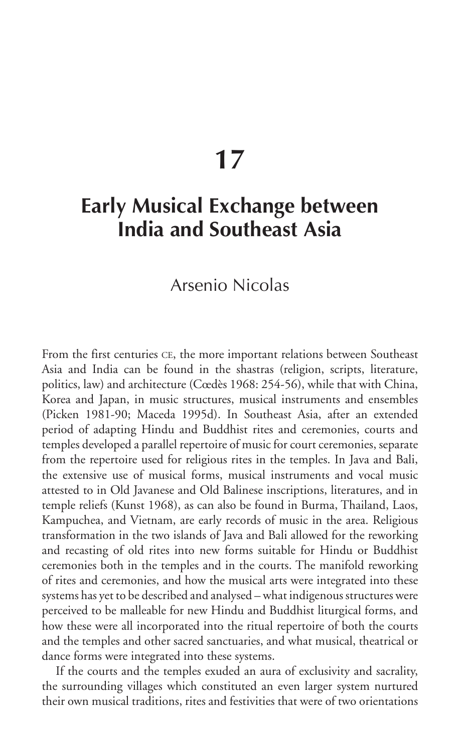# **17**

# **Early Musical Exchange between India and Southeast Asia**

### Arsenio Nicolas

From the first centuries CE, the more important relations between Southeast Asia and India can be found in the shastras (religion, scripts, literature, politics, law) and architecture (Cœdès 1968: 254-56), while that with China, Korea and Japan, in music structures, musical instruments and ensembles (Picken 1981-90; Maceda 1995d). In Southeast Asia, after an extended period of adapting Hindu and Buddhist rites and ceremonies, courts and temples developed a parallel repertoire of music for court ceremonies, separate from the repertoire used for religious rites in the temples. In Java and Bali, the extensive use of musical forms, musical instruments and vocal music attested to in Old Javanese and Old Balinese inscriptions, literatures, and in temple reliefs (Kunst 1968), as can also be found in Burma, Thailand, Laos, Kampuchea, and Vietnam, are early records of music in the area. Religious transformation in the two islands of Java and Bali allowed for the reworking and recasting of old rites into new forms suitable for Hindu or Buddhist ceremonies both in the temples and in the courts. The manifold reworking of rites and ceremonies, and how the musical arts were integrated into these systems has yet to be described and analysed – what indigenous structures were perceived to be malleable for new Hindu and Buddhist liturgical forms, and how these were all incorporated into the ritual repertoire of both the courts and the temples and other sacred sanctuaries, and what musical, theatrical or dance forms were integrated into these systems.

If the courts and the temples exuded an aura of exclusivity and sacrality, the surrounding villages which constituted an even larger system nurtured their own musical traditions, rites and festivities that were of two orientations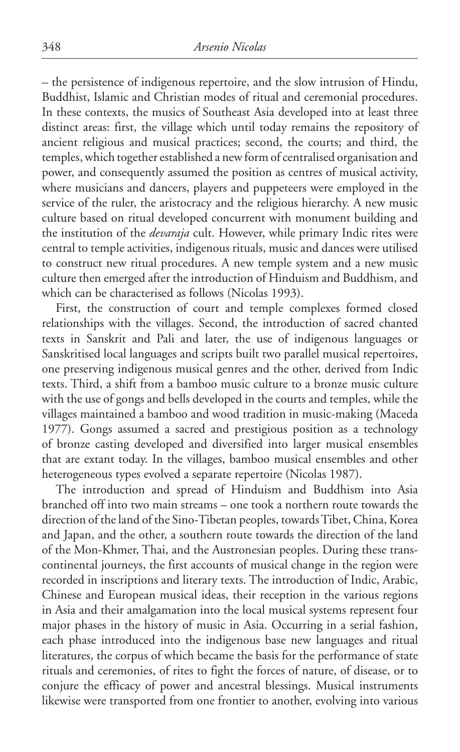– the persistence of indigenous repertoire, and the slow intrusion of Hindu, Buddhist, Islamic and Christian modes of ritual and ceremonial procedures. In these contexts, the musics of Southeast Asia developed into at least three distinct areas: first, the village which until today remains the repository of ancient religious and musical practices; second, the courts; and third, the temples, which together established a new form of centralised organisation and power, and consequently assumed the position as centres of musical activity, where musicians and dancers, players and puppeteers were employed in the service of the ruler, the aristocracy and the religious hierarchy. A new music culture based on ritual developed concurrent with monument building and the institution of the *devaraja* cult. However, while primary Indic rites were central to temple activities, indigenous rituals, music and dances were utilised to construct new ritual procedures. A new temple system and a new music culture then emerged after the introduction of Hinduism and Buddhism, and which can be characterised as follows (Nicolas 1993).

First, the construction of court and temple complexes formed closed relationships with the villages. Second, the introduction of sacred chanted texts in Sanskrit and Pali and later, the use of indigenous languages or Sanskritised local languages and scripts built two parallel musical repertoires, one preserving indigenous musical genres and the other, derived from Indic texts. Third, a shift from a bamboo music culture to a bronze music culture with the use of gongs and bells developed in the courts and temples, while the villages maintained a bamboo and wood tradition in music-making (Maceda 1977). Gongs assumed a sacred and prestigious position as a technology of bronze casting developed and diversified into larger musical ensembles that are extant today. In the villages, bamboo musical ensembles and other heterogeneous types evolved a separate repertoire (Nicolas 1987).

The introduction and spread of Hinduism and Buddhism into Asia branched off into two main streams – one took a northern route towards the direction of the land of the Sino-Tibetan peoples, towards Tibet, China, Korea and Japan, and the other, a southern route towards the direction of the land of the Mon-Khmer, Thai, and the Austronesian peoples. During these transcontinental journeys, the first accounts of musical change in the region were recorded in inscriptions and literary texts. The introduction of Indic, Arabic, Chinese and European musical ideas, their reception in the various regions in Asia and their amalgamation into the local musical systems represent four major phases in the history of music in Asia. Occurring in a serial fashion, each phase introduced into the indigenous base new languages and ritual literatures, the corpus of which became the basis for the performance of state rituals and ceremonies, of rites to fight the forces of nature, of disease, or to conjure the efficacy of power and ancestral blessings. Musical instruments likewise were transported from one frontier to another, evolving into various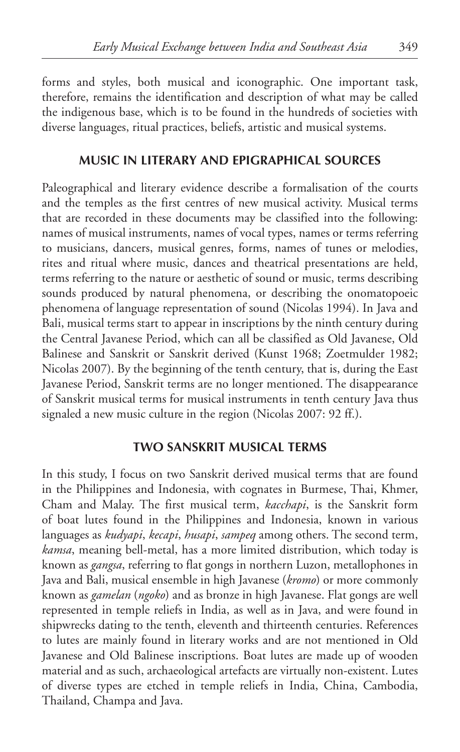forms and styles, both musical and iconographic. One important task, therefore, remains the identification and description of what may be called the indigenous base, which is to be found in the hundreds of societies with diverse languages, ritual practices, beliefs, artistic and musical systems.

#### **Music in Literary and Epigraphical Sources**

Paleographical and literary evidence describe a formalisation of the courts and the temples as the first centres of new musical activity. Musical terms that are recorded in these documents may be classified into the following: names of musical instruments, names of vocal types, names or terms referring to musicians, dancers, musical genres, forms, names of tunes or melodies, rites and ritual where music, dances and theatrical presentations are held, terms referring to the nature or aesthetic of sound or music, terms describing sounds produced by natural phenomena, or describing the onomatopoeic phenomena of language representation of sound (Nicolas 1994). In Java and Bali, musical terms start to appear in inscriptions by the ninth century during the Central Javanese Period, which can all be classified as Old Javanese, Old Balinese and Sanskrit or Sanskrit derived (Kunst 1968; Zoetmulder 1982; Nicolas 2007). By the beginning of the tenth century, that is, during the East Javanese Period, Sanskrit terms are no longer mentioned. The disappearance of Sanskrit musical terms for musical instruments in tenth century Java thus signaled a new music culture in the region (Nicolas 2007: 92 ff.).

#### **Two Sanskrit Musical Terms**

In this study, I focus on two Sanskrit derived musical terms that are found in the Philippines and Indonesia, with cognates in Burmese, Thai, Khmer, Cham and Malay. The first musical term, *kacchapi*, is the Sanskrit form of boat lutes found in the Philippines and Indonesia, known in various languages as *kudyapi*, *kecapi*, *husapi*, *sampeq* among others. The second term, *kamsa*, meaning bell-metal, has a more limited distribution, which today is known as *gangsa*, referring to flat gongs in northern Luzon, metallophones in Java and Bali, musical ensemble in high Javanese (*kromo*) or more commonly known as *gamelan* (*ngoko*) and as bronze in high Javanese. Flat gongs are well represented in temple reliefs in India, as well as in Java, and were found in shipwrecks dating to the tenth, eleventh and thirteenth centuries. References to lutes are mainly found in literary works and are not mentioned in Old Javanese and Old Balinese inscriptions. Boat lutes are made up of wooden material and as such, archaeological artefacts are virtually non-existent. Lutes of diverse types are etched in temple reliefs in India, China, Cambodia, Thailand, Champa and Java.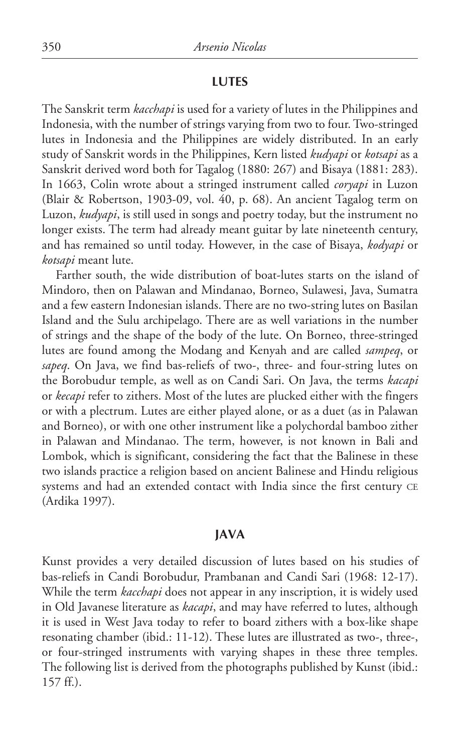#### **Lutes**

The Sanskrit term *kacchapi* is used for a variety of lutes in the Philippines and Indonesia, with the number of strings varying from two to four. Two-stringed lutes in Indonesia and the Philippines are widely distributed. In an early study of Sanskrit words in the Philippines, Kern listed *kudyapi* or *kotsapi* as a Sanskrit derived word both for Tagalog (1880: 267) and Bisaya (1881: 283). In 1663, Colin wrote about a stringed instrument called *coryapi* in Luzon (Blair & Robertson, 1903-09, vol. 40, p. 68). An ancient Tagalog term on Luzon, *kudyapi*, is still used in songs and poetry today, but the instrument no longer exists. The term had already meant guitar by late nineteenth century, and has remained so until today. However, in the case of Bisaya, *kodyapi* or *kotsapi* meant lute.

Farther south, the wide distribution of boat-lutes starts on the island of Mindoro, then on Palawan and Mindanao, Borneo, Sulawesi, Java, Sumatra and a few eastern Indonesian islands. There are no two-string lutes on Basilan Island and the Sulu archipelago. There are as well variations in the number of strings and the shape of the body of the lute. On Borneo, three-stringed lutes are found among the Modang and Kenyah and are called *sampeq*, or *sapeq*. On Java, we find bas-reliefs of two-, three- and four-string lutes on the Borobudur temple, as well as on Candi Sari. On Java, the terms *kacapi* or *kecapi* refer to zithers. Most of the lutes are plucked either with the fingers or with a plectrum. Lutes are either played alone, or as a duet (as in Palawan and Borneo), or with one other instrument like a polychordal bamboo zither in Palawan and Mindanao. The term, however, is not known in Bali and Lombok, which is significant, considering the fact that the Balinese in these two islands practice a religion based on ancient Balinese and Hindu religious systems and had an extended contact with India since the first century CE (Ardika 1997).

#### **Java**

Kunst provides a very detailed discussion of lutes based on his studies of bas-reliefs in Candi Borobudur, Prambanan and Candi Sari (1968: 12-17). While the term *kacchapi* does not appear in any inscription, it is widely used in Old Javanese literature as *kacapi*, and may have referred to lutes, although it is used in West Java today to refer to board zithers with a box-like shape resonating chamber (ibid.: 11-12). These lutes are illustrated as two-, three-, or four-stringed instruments with varying shapes in these three temples. The following list is derived from the photographs published by Kunst (ibid.: 157 ff.).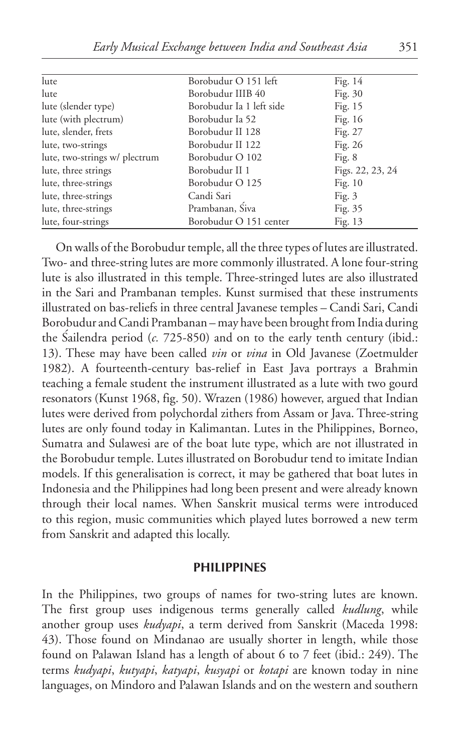| lute                          | Borobudur O 151 left     | Fig. $14$        |
|-------------------------------|--------------------------|------------------|
| lute                          | Borobudur IIIB 40        | Fig. $30$        |
| lute (slender type)           | Borobudur Ia 1 left side | Fig. 15          |
| lute (with plectrum)          | Borobudur Ia 52          | Fig. 16          |
| lute, slender, frets          | Borobudur II 128         | Fig. 27          |
| lute, two-strings             | Borobudur II 122         | Fig. 26          |
| lute, two-strings w/ plectrum | Borobudur O 102          | Fig. $8$         |
| lute, three strings           | Borobudur II 1           | Figs. 22, 23, 24 |
| lute, three-strings           | Borobudur O 125          | Fig. $10$        |
| lute, three-strings           | Candi Sari               | Fig. $3$         |
| lute, three-strings           | Prambanan, Siva          | Fig. 35          |
| lute, four-strings            | Borobudur O 151 center   | Fig. 13          |

On walls of the Borobudur temple, all the three types of lutes are illustrated. Two- and three-string lutes are more commonly illustrated. A lone four-string lute is also illustrated in this temple. Three-stringed lutes are also illustrated in the Sari and Prambanan temples. Kunst surmised that these instruments illustrated on bas-reliefs in three central Javanese temples – Candi Sari, Candi Borobudur and Candi Prambanan – may have been brought from India during the Sailendra period  $(c. 725-850)$  and on to the early tenth century (ibid.: 13). These may have been called *vin* or *vina* in Old Javanese (Zoetmulder 1982). A fourteenth-century bas-relief in East Java portrays a Brahmin teaching a female student the instrument illustrated as a lute with two gourd resonators (Kunst 1968, fig. 50). Wrazen (1986) however, argued that Indian lutes were derived from polychordal zithers from Assam or Java. Three-string lutes are only found today in Kalimantan. Lutes in the Philippines, Borneo, Sumatra and Sulawesi are of the boat lute type, which are not illustrated in the Borobudur temple. Lutes illustrated on Borobudur tend to imitate Indian models. If this generalisation is correct, it may be gathered that boat lutes in Indonesia and the Philippines had long been present and were already known through their local names. When Sanskrit musical terms were introduced to this region, music communities which played lutes borrowed a new term from Sanskrit and adapted this locally.

#### **Philippines**

In the Philippines, two groups of names for two-string lutes are known. The first group uses indigenous terms generally called *kudlung*, while another group uses *kudyapi*, a term derived from Sanskrit (Maceda 1998: 43). Those found on Mindanao are usually shorter in length, while those found on Palawan Island has a length of about 6 to 7 feet (ibid.: 249). The terms *kudyapi*, *kutyapi*, *katyapi*, *kusyapi* or *kotapi* are known today in nine languages, on Mindoro and Palawan Islands and on the western and southern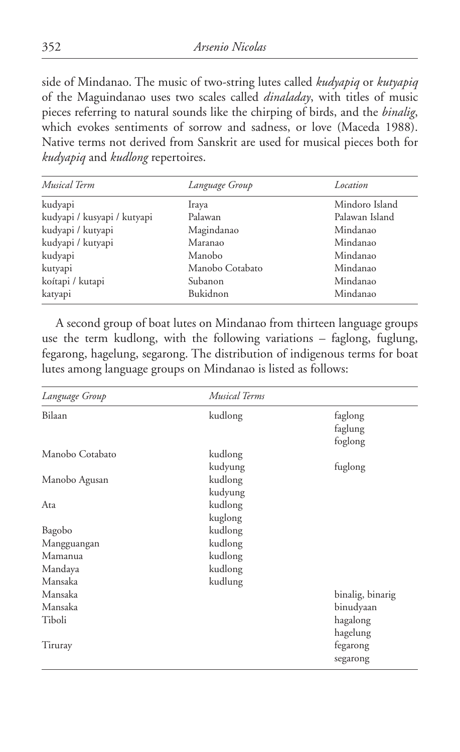side of Mindanao. The music of two-string lutes called *kudyapiq* or *kutyapiq* of the Maguindanao uses two scales called *dinaladay*, with titles of music pieces referring to natural sounds like the chirping of birds, and the *binalig*, which evokes sentiments of sorrow and sadness, or love (Maceda 1988). Native terms not derived from Sanskrit are used for musical pieces both for *kudyapiq* and *kudlong* repertoires.

| <b>Musical Term</b>         | Language Group  | Location       |
|-----------------------------|-----------------|----------------|
| kudyapi                     | Iraya           | Mindoro Island |
| kudyapi / kusyapi / kutyapi | Palawan         | Palawan Island |
| kudyapi / kutyapi           | Magindanao      | Mindanao       |
| kudyapi / kutyapi           | Maranao         | Mindanao       |
| kudyapi                     | Manobo          | Mindanao       |
| kutyapi                     | Manobo Cotabato | Mindanao       |
| koítapi / kutapi            | Subanon         | Mindanao       |
| katyapi                     | Bukidnon        | Mindanao       |

A second group of boat lutes on Mindanao from thirteen language groups use the term kudlong, with the following variations – faglong, fuglung, fegarong, hagelung, segarong. The distribution of indigenous terms for boat lutes among language groups on Mindanao is listed as follows:

| Language Group  | <b>Musical Terms</b> |                               |
|-----------------|----------------------|-------------------------------|
| Bilaan          | kudlong              | faglong<br>faglung<br>foglong |
| Manobo Cotabato | kudlong              |                               |
|                 | kudyung              | fuglong                       |
| Manobo Agusan   | kudlong              |                               |
|                 | kudyung              |                               |
| Ata             | kudlong              |                               |
|                 | kuglong              |                               |
| Bagobo          | kudlong              |                               |
| Mangguangan     | kudlong              |                               |
| Mamanua         | kudlong              |                               |
| Mandaya         | kudlong              |                               |
| Mansaka         | kudlung              |                               |
| Mansaka         |                      | binalig, binarig              |
| Mansaka         |                      | binudyaan                     |
| Tiboli          |                      | hagalong<br>hagelung          |
| Tiruray         |                      | fegarong<br>segarong          |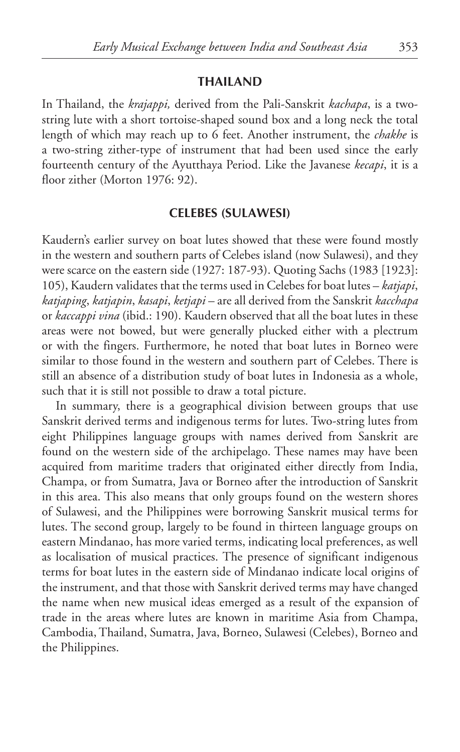#### **Thailand**

In Thailand, the *krajappi,* derived from the Pali-Sanskrit *kachapa*, is a twostring lute with a short tortoise-shaped sound box and a long neck the total length of which may reach up to 6 feet. Another instrument, the *chakhe* is a two-string zither-type of instrument that had been used since the early fourteenth century of the Ayutthaya Period. Like the Javanese *kecapi*, it is a floor zither (Morton 1976: 92).

#### **Celebes (Sulawesi)**

Kaudern's earlier survey on boat lutes showed that these were found mostly in the western and southern parts of Celebes island (now Sulawesi), and they were scarce on the eastern side (1927: 187-93). Quoting Sachs (1983 [1923]: 105), Kaudern validates that the terms used in Celebes for boat lutes – *katjapi*, *katjaping*, *katjapin*, *kasapi*, *ketjapi* – are all derived from the Sanskrit *kacchapa* or *kaccappi vina* (ibid.: 190). Kaudern observed that all the boat lutes in these areas were not bowed, but were generally plucked either with a plectrum or with the fingers. Furthermore, he noted that boat lutes in Borneo were similar to those found in the western and southern part of Celebes. There is still an absence of a distribution study of boat lutes in Indonesia as a whole, such that it is still not possible to draw a total picture.

In summary, there is a geographical division between groups that use Sanskrit derived terms and indigenous terms for lutes. Two-string lutes from eight Philippines language groups with names derived from Sanskrit are found on the western side of the archipelago. These names may have been acquired from maritime traders that originated either directly from India, Champa, or from Sumatra, Java or Borneo after the introduction of Sanskrit in this area. This also means that only groups found on the western shores of Sulawesi, and the Philippines were borrowing Sanskrit musical terms for lutes. The second group, largely to be found in thirteen language groups on eastern Mindanao, has more varied terms, indicating local preferences, as well as localisation of musical practices. The presence of significant indigenous terms for boat lutes in the eastern side of Mindanao indicate local origins of the instrument, and that those with Sanskrit derived terms may have changed the name when new musical ideas emerged as a result of the expansion of trade in the areas where lutes are known in maritime Asia from Champa, Cambodia, Thailand, Sumatra, Java, Borneo, Sulawesi (Celebes), Borneo and the Philippines.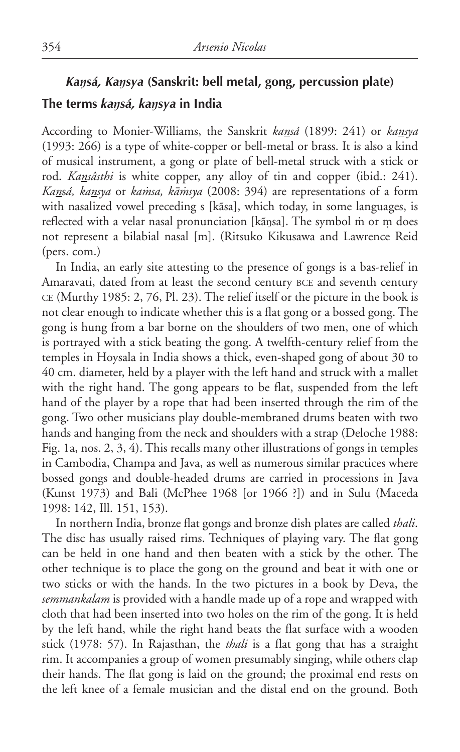### *Kaŋsá, Kaŋsya* **(Sanskrit: bell metal, gong, percussion plate) The terms** *kaŋsá, kaŋsya* **in India**

According to Monier-Williams, the Sanskrit *kansá* (1899: 241) or *kansya* (1993: 266) is a type of white-copper or bell-metal or brass. It is also a kind of musical instrument, a gong or plate of bell-metal struck with a stick or rod. *Kansâsthi* is white copper, any alloy of tin and copper (ibid.: 241). *Kansá, kansya* or *kamsa, kāmsya* (2008: 394) are representations of a form with nasalized vowel preceding s [kãsa], which today, in some languages, is reflected with a velar nasal pronunciation [kansa]. The symbol m or m does not represent a bilabial nasal [m]. (Ritsuko Kikusawa and Lawrence Reid (pers. com.)

In India, an early site attesting to the presence of gongs is a bas-relief in Amaravati, dated from at least the second century bce and seventh century ce (Murthy 1985: 2, 76, Pl. 23). The relief itself or the picture in the book is not clear enough to indicate whether this is a flat gong or a bossed gong. The gong is hung from a bar borne on the shoulders of two men, one of which is portrayed with a stick beating the gong. A twelfth-century relief from the temples in Hoysala in India shows a thick, even-shaped gong of about 30 to 40 cm. diameter, held by a player with the left hand and struck with a mallet with the right hand. The gong appears to be flat, suspended from the left hand of the player by a rope that had been inserted through the rim of the gong. Two other musicians play double-membraned drums beaten with two hands and hanging from the neck and shoulders with a strap (Deloche 1988: Fig. 1a, nos. 2, 3, 4). This recalls many other illustrations of gongs in temples in Cambodia, Champa and Java, as well as numerous similar practices where bossed gongs and double-headed drums are carried in processions in Java (Kunst 1973) and Bali (McPhee 1968 [or 1966 ?]) and in Sulu (Maceda 1998: 142, Ill. 151, 153).

In northern India, bronze flat gongs and bronze dish plates are called *thali*. The disc has usually raised rims. Techniques of playing vary. The flat gong can be held in one hand and then beaten with a stick by the other. The other technique is to place the gong on the ground and beat it with one or two sticks or with the hands. In the two pictures in a book by Deva, the *semmankalam* is provided with a handle made up of a rope and wrapped with cloth that had been inserted into two holes on the rim of the gong. It is held by the left hand, while the right hand beats the flat surface with a wooden stick (1978: 57). In Rajasthan, the *thali* is a flat gong that has a straight rim. It accompanies a group of women presumably singing, while others clap their hands. The flat gong is laid on the ground; the proximal end rests on the left knee of a female musician and the distal end on the ground. Both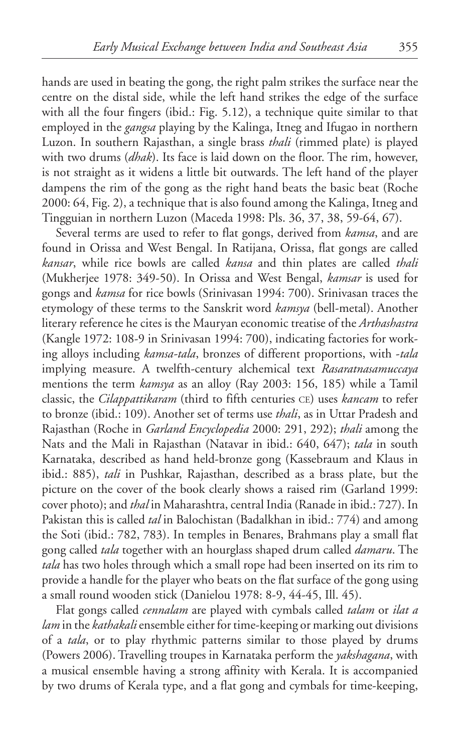hands are used in beating the gong, the right palm strikes the surface near the centre on the distal side, while the left hand strikes the edge of the surface with all the four fingers (ibid.: Fig. 5.12), a technique quite similar to that employed in the *gangsa* playing by the Kalinga, Itneg and Ifugao in northern Luzon. In southern Rajasthan, a single brass *thali* (rimmed plate) is played with two drums (*dhak*). Its face is laid down on the floor. The rim, however, is not straight as it widens a little bit outwards. The left hand of the player dampens the rim of the gong as the right hand beats the basic beat (Roche 2000: 64, Fig. 2), a technique that is also found among the Kalinga, Itneg and Tingguian in northern Luzon (Maceda 1998: Pls. 36, 37, 38, 59-64, 67).

Several terms are used to refer to flat gongs, derived from *kamsa*, and are found in Orissa and West Bengal. In Ratijana, Orissa, flat gongs are called *kansar*, while rice bowls are called *kansa* and thin plates are called *thali* (Mukherjee 1978: 349-50). In Orissa and West Bengal, *kamsar* is used for gongs and *kamsa* for rice bowls (Srinivasan 1994: 700). Srinivasan traces the etymology of these terms to the Sanskrit word *kamsya* (bell-metal). Another literary reference he cites is the Mauryan economic treatise of the *Arthashastra* (Kangle 1972: 108-9 in Srinivasan 1994: 700), indicating factories for working alloys including *kamsa-tala*, bronzes of different proportions, with -*tala* implying measure. A twelfth-century alchemical text *Rasaratnasamuccaya* mentions the term *kamsya* as an alloy (Ray 2003: 156, 185) while a Tamil classic, the *Cilappattikaram* (third to fifth centuries ce) uses *kancam* to refer to bronze (ibid.: 109). Another set of terms use *thali*, as in Uttar Pradesh and Rajasthan (Roche in *Garland Encyclopedia* 2000: 291, 292); *thali* among the Nats and the Mali in Rajasthan (Natavar in ibid.: 640, 647); *tala* in south Karnataka, described as hand held-bronze gong (Kassebraum and Klaus in ibid.: 885), *tali* in Pushkar, Rajasthan, described as a brass plate, but the picture on the cover of the book clearly shows a raised rim (Garland 1999: cover photo); and *thal* in Maharashtra, central India (Ranade in ibid.: 727). In Pakistan this is called *tal* in Balochistan (Badalkhan in ibid.: 774) and among the Soti (ibid.: 782, 783). In temples in Benares, Brahmans play a small flat gong called *tala* together with an hourglass shaped drum called *damaru*. The *tala* has two holes through which a small rope had been inserted on its rim to provide a handle for the player who beats on the flat surface of the gong using a small round wooden stick (Danielou 1978: 8-9, 44-45, Ill. 45).

Flat gongs called *cennalam* are played with cymbals called *talam* or *ilat a lam* in the *kathakali* ensemble either for time-keeping or marking out divisions of a *tala*, or to play rhythmic patterns similar to those played by drums (Powers 2006). Travelling troupes in Karnataka perform the *yakshagana*, with a musical ensemble having a strong affinity with Kerala. It is accompanied by two drums of Kerala type, and a flat gong and cymbals for time-keeping,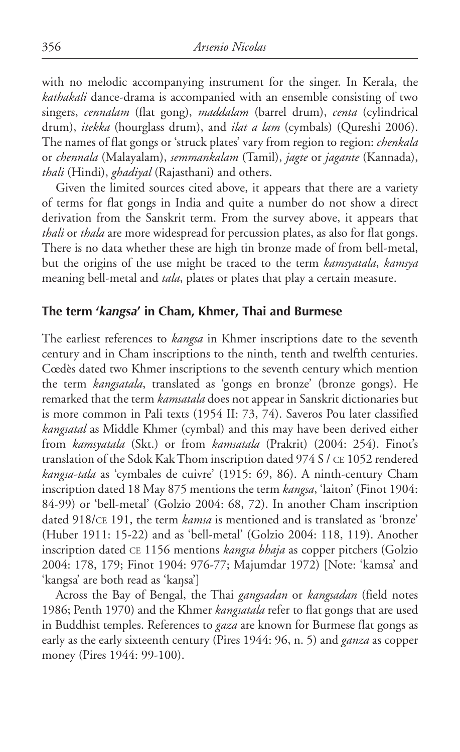with no melodic accompanying instrument for the singer. In Kerala, the *kathakali* dance-drama is accompanied with an ensemble consisting of two singers, *cennalam* (flat gong), *maddalam* (barrel drum), *centa* (cylindrical drum), *itekka* (hourglass drum), and *ilat a lam* (cymbals) (Qureshi 2006). The names of flat gongs or 'struck plates' vary from region to region: *chenkala* or *chennala* (Malayalam), *semmankalam* (Tamil), *jagte* or *jagante* (Kannada), *thali* (Hindi), *ghadiyal* (Rajasthani) and others.

Given the limited sources cited above, it appears that there are a variety of terms for flat gongs in India and quite a number do not show a direct derivation from the Sanskrit term. From the survey above, it appears that *thali* or *thala* are more widespread for percussion plates, as also for flat gongs. There is no data whether these are high tin bronze made of from bell-metal, but the origins of the use might be traced to the term *kamsyatala*, *kamsya* meaning bell-metal and *tala*, plates or plates that play a certain measure.

#### **The term '***kangsa***' in Cham, Khmer, Thai and Burmese**

The earliest references to *kangsa* in Khmer inscriptions date to the seventh century and in Cham inscriptions to the ninth, tenth and twelfth centuries. Cœdès dated two Khmer inscriptions to the seventh century which mention the term *kangsatala*, translated as 'gongs en bronze' (bronze gongs). He remarked that the term *kamsatala* does not appear in Sanskrit dictionaries but is more common in Pali texts (1954 II: 73, 74). Saveros Pou later classified *kangsatal* as Middle Khmer (cymbal) and this may have been derived either from *kamsyatala* (Skt.) or from *kamsatala* (Prakrit) (2004: 254). Finot's translation of the Sdok Kak Thom inscription dated 974 S / ce 1052 rendered *kangsa-tala* as 'cymbales de cuivre' (1915: 69, 86). A ninth-century Cham inscription dated 18 May 875 mentions the term *kangsa*, 'laiton' (Finot 1904: 84-99) or 'bell-metal' (Golzio 2004: 68, 72). In another Cham inscription dated 918/ce 191, the term *kamsa* is mentioned and is translated as 'bronze' (Huber 1911: 15-22) and as 'bell-metal' (Golzio 2004: 118, 119). Another inscription dated ce 1156 mentions *kangsa bhaja* as copper pitchers (Golzio 2004: 178, 179; Finot 1904: 976-77; Majumdar 1972) [Note: 'kamsa' and 'kangsa' are both read as 'kaŋsa']

Across the Bay of Bengal, the Thai *gangsadan* or *kangsadan* (field notes 1986; Penth 1970) and the Khmer *kangsatala* refer to flat gongs that are used in Buddhist temples. References to *gaza* are known for Burmese flat gongs as early as the early sixteenth century (Pires 1944: 96, n. 5) and *ganza* as copper money (Pires 1944: 99-100).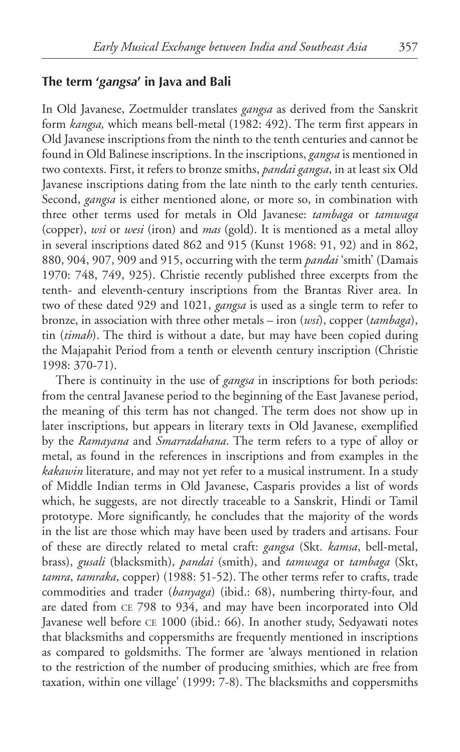#### **The term '***gangsa***' in Java and Bali**

In Old Javanese, Zoetmulder translates *gangsa* as derived from the Sanskrit form *kangsa,* which means bell-metal (1982: 492). The term first appears in Old Javanese inscriptions from the ninth to the tenth centuries and cannot be found in Old Balinese inscriptions. In the inscriptions, *gangsa* is mentioned in two contexts. First, it refers to bronze smiths, *pandai gangsa*, in at least six Old Javanese inscriptions dating from the late ninth to the early tenth centuries. Second, *gangsa* is either mentioned alone, or more so, in combination with three other terms used for metals in Old Javanese: *tambaga* or *tamwaga* (copper), *wsi* or *wesi* (iron) and *mas* (gold). It is mentioned as a metal alloy in several inscriptions dated 862 and 915 (Kunst 1968: 91, 92) and in 862, 880, 904, 907, 909 and 915, occurring with the term *pandai* 'smith' (Damais 1970: 748, 749, 925). Christie recently published three excerpts from the tenth- and eleventh-century inscriptions from the Brantas River area. In two of these dated 929 and 1021, *gangsa* is used as a single term to refer to bronze, in association with three other metals – iron (*wsi*), copper (*tambaga*), tin (*timah*). The third is without a date, but may have been copied during the Majapahit Period from a tenth or eleventh century inscription (Christie 1998: 370-71).

There is continuity in the use of *gangsa* in inscriptions for both periods: from the central Javanese period to the beginning of the East Javanese period, the meaning of this term has not changed. The term does not show up in later inscriptions, but appears in literary texts in Old Javanese, exemplified by the *Ramayana* and *Smarradahana*. The term refers to a type of alloy or metal, as found in the references in inscriptions and from examples in the *kakawin* literature, and may not yet refer to a musical instrument. In a study of Middle Indian terms in Old Javanese, Casparis provides a list of words which, he suggests, are not directly traceable to a Sanskrit, Hindi or Tamil prototype. More significantly, he concludes that the majority of the words in the list are those which may have been used by traders and artisans. Four of these are directly related to metal craft: *gangsa* (Skt. *kamsa*, bell-metal, brass), *gusali* (blacksmith), *pandai* (smith), and *tamwaga* or *tambaga* (Skt, *tamra*, *tamraka*, copper) (1988: 51-52). The other terms refer to crafts, trade commodities and trader (*banyaga*) (ibid.: 68), numbering thirty-four, and are dated from ce 798 to 934, and may have been incorporated into Old Javanese well before CE 1000 (ibid.: 66). In another study, Sedyawati notes that blacksmiths and coppersmiths are frequently mentioned in inscriptions as compared to goldsmiths. The former are 'always mentioned in relation to the restriction of the number of producing smithies, which are free from taxation, within one village' (1999: 7-8). The blacksmiths and coppersmiths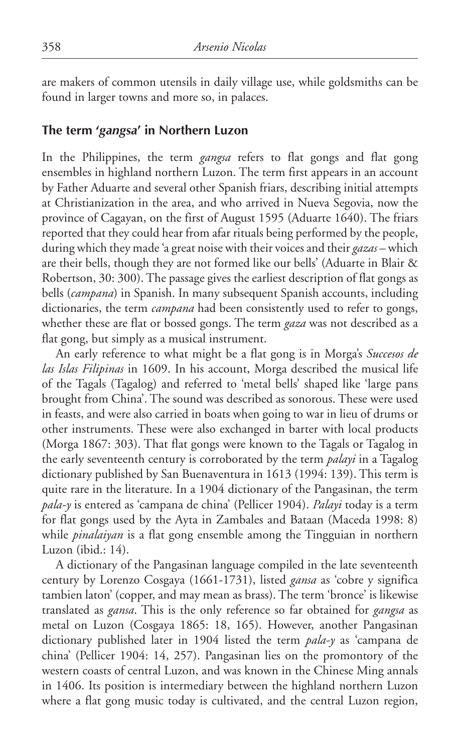are makers of common utensils in daily village use, while goldsmiths can be found in larger towns and more so, in palaces.

#### **The term '***gangsa***' in Northern Luzon**

In the Philippines, the term *gangsa* refers to flat gongs and flat gong ensembles in highland northern Luzon. The term first appears in an account by Father Aduarte and several other Spanish friars, describing initial attempts at Christianization in the area, and who arrived in Nueva Segovia, now the province of Cagayan, on the first of August 1595 (Aduarte 1640). The friars reported that they could hear from afar rituals being performed by the people, during which they made 'a great noise with their voices and their *gazas* – which are their bells, though they are not formed like our bells' (Aduarte in Blair & Robertson, 30: 300). The passage gives the earliest description of flat gongs as bells (*campana*) in Spanish. In many subsequent Spanish accounts, including dictionaries, the term *campana* had been consistently used to refer to gongs, whether these are flat or bossed gongs. The term *gaza* was not described as a flat gong, but simply as a musical instrument.

An early reference to what might be a flat gong is in Morga's *Succesos de las Islas Filipinas* in 1609. In his account, Morga described the musical life of the Tagals (Tagalog) and referred to 'metal bells' shaped like 'large pans brought from China'. The sound was described as sonorous. These were used in feasts, and were also carried in boats when going to war in lieu of drums or other instruments. These were also exchanged in barter with local products (Morga 1867: 303). That flat gongs were known to the Tagals or Tagalog in the early seventeenth century is corroborated by the term *palayi* in a Tagalog dictionary published by San Buenaventura in 1613 (1994: 139). This term is quite rare in the literature. In a 1904 dictionary of the Pangasinan, the term *pala-y* is entered as 'campana de china' (Pellicer 1904). *Palayi* today is a term for flat gongs used by the Ayta in Zambales and Bataan (Maceda 1998: 8) while *pinalaiyan* is a flat gong ensemble among the Tingguian in northern Luzon (ibid.: 14).

A dictionary of the Pangasinan language compiled in the late seventeenth century by Lorenzo Cosgaya (1661-1731), listed *gansa* as 'cobre y significa tambien laton' (copper, and may mean as brass). The term 'bronce' is likewise translated as *gansa*. This is the only reference so far obtained for *gangsa* as metal on Luzon (Cosgaya 1865: 18, 165). However, another Pangasinan dictionary published later in 1904 listed the term *pala-y* as 'campana de china' (Pellicer 1904: 14, 257). Pangasinan lies on the promontory of the western coasts of central Luzon, and was known in the Chinese Ming annals in 1406. Its position is intermediary between the highland northern Luzon where a flat gong music today is cultivated, and the central Luzon region,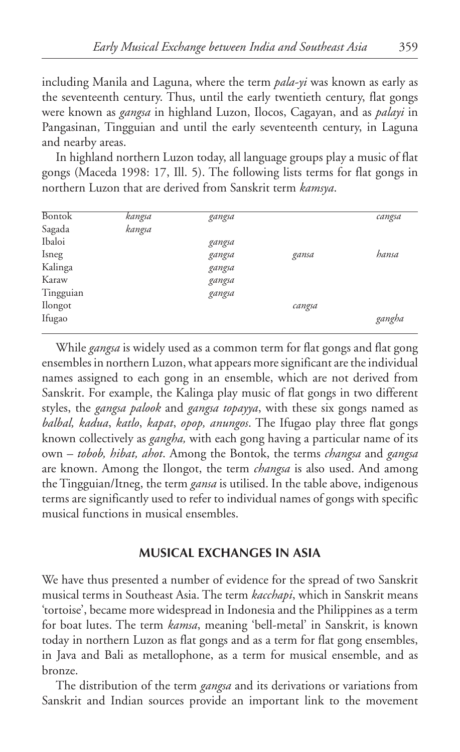including Manila and Laguna, where the term *pala-yi* was known as early as the seventeenth century. Thus, until the early twentieth century, flat gongs were known as *gangsa* in highland Luzon, Ilocos, Cagayan, and as *palayi* in Pangasinan, Tingguian and until the early seventeenth century, in Laguna and nearby areas.

In highland northern Luzon today, all language groups play a music of flat gongs (Maceda 1998: 17, ill. 5). The following lists terms for flat gongs in northern Luzon that are derived from Sanskrit term *kamsya*.

| <b>Bontok</b> | kangsa | gangsa |        | cangsa |
|---------------|--------|--------|--------|--------|
| Sagada        | kangsa |        |        |        |
| Ibaloi        |        | gangsa |        |        |
| Isneg         |        | gangsa | gansa  | hansa  |
| Kalinga       |        | gangsa |        |        |
| Karaw         |        | gangsa |        |        |
| Tingguian     |        | gangsa |        |        |
| Ilongot       |        |        | cangsa |        |
| Ifugao        |        |        |        | gangha |
|               |        |        |        |        |

While *gangsa* is widely used as a common term for flat gongs and flat gong ensembles in northern Luzon, what appears more significant are the individual names assigned to each gong in an ensemble, which are not derived from Sanskrit. For example, the Kalinga play music of flat gongs in two different styles, the *gangsa palook* and *gangsa topayya*, with these six gongs named as *balbal, kadua*, *katlo*, *kapat*, *opop, anungos*. The Ifugao play three flat gongs known collectively as *gangha,* with each gong having a particular name of its own – *tobob, hibat, ahot*. Among the Bontok, the terms *changsa* and *gangsa* are known. Among the Ilongot, the term *changsa* is also used. And among the Tingguian/Itneg, the term *gansa* is utilised. In the table above, indigenous terms are significantly used to refer to individual names of gongs with specific musical functions in musical ensembles.

#### **Musical Exchanges in Asia**

We have thus presented a number of evidence for the spread of two Sanskrit musical terms in Southeast Asia. The term *kacchapi*, which in Sanskrit means 'tortoise', became more widespread in Indonesia and the Philippines as a term for boat lutes. The term *kamsa*, meaning 'bell-metal' in Sanskrit, is known today in northern Luzon as flat gongs and as a term for flat gong ensembles, in Java and Bali as metallophone, as a term for musical ensemble, and as bronze.

The distribution of the term *gangsa* and its derivations or variations from Sanskrit and Indian sources provide an important link to the movement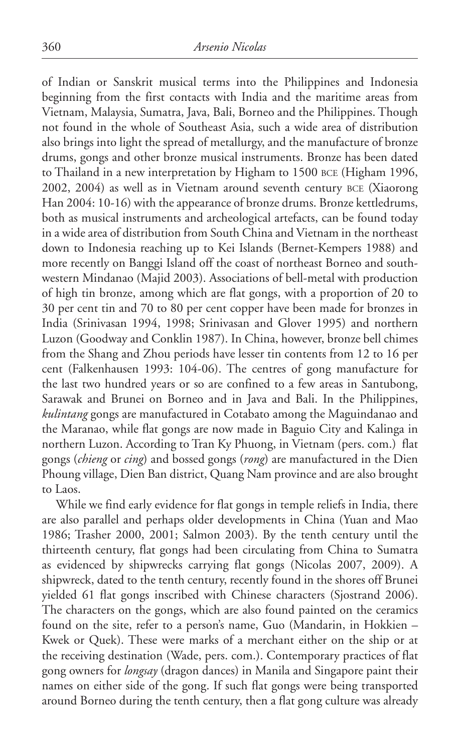of Indian or Sanskrit musical terms into the Philippines and Indonesia beginning from the first contacts with India and the maritime areas from Vietnam, Malaysia, Sumatra, Java, Bali, Borneo and the Philippines. Though not found in the whole of Southeast Asia, such a wide area of distribution also brings into light the spread of metallurgy, and the manufacture of bronze drums, gongs and other bronze musical instruments. Bronze has been dated to Thailand in a new interpretation by Higham to 1500 bce (Higham 1996, 2002, 2004) as well as in Vietnam around seventh century bce (Xiaorong Han 2004: 10-16) with the appearance of bronze drums. Bronze kettledrums, both as musical instruments and archeological artefacts, can be found today in a wide area of distribution from South China and Vietnam in the northeast down to Indonesia reaching up to Kei Islands (Bernet-Kempers 1988) and more recently on Banggi Island off the coast of northeast Borneo and southwestern Mindanao (Majid 2003). Associations of bell-metal with production of high tin bronze, among which are flat gongs, with a proportion of 20 to 30 per cent tin and 70 to 80 per cent copper have been made for bronzes in India (Srinivasan 1994, 1998; Srinivasan and Glover 1995) and northern Luzon (Goodway and Conklin 1987). In China, however, bronze bell chimes from the Shang and Zhou periods have lesser tin contents from 12 to 16 per cent (Falkenhausen 1993: 104-06). The centres of gong manufacture for the last two hundred years or so are confined to a few areas in Santubong, Sarawak and Brunei on Borneo and in Java and Bali. In the Philippines, *kulintang* gongs are manufactured in Cotabato among the Maguindanao and the Maranao, while flat gongs are now made in Baguio City and Kalinga in northern Luzon. According to Tran Ky Phuong, in Vietnam (pers. com.) flat gongs (*chieng* or *cing*) and bossed gongs (*rong*) are manufactured in the Dien Phoung village, Dien Ban district, Quang Nam province and are also brought to Laos.

While we find early evidence for flat gongs in temple reliefs in India, there are also parallel and perhaps older developments in China (Yuan and Mao 1986; Trasher 2000, 2001; Salmon 2003). By the tenth century until the thirteenth century, flat gongs had been circulating from China to Sumatra as evidenced by shipwrecks carrying flat gongs (Nicolas 2007, 2009). A shipwreck, dated to the tenth century, recently found in the shores off Brunei yielded 61 flat gongs inscribed with Chinese characters (Sjostrand 2006). The characters on the gongs, which are also found painted on the ceramics found on the site, refer to a person's name, Guo (Mandarin, in Hokkien – Kwek or Quek). These were marks of a merchant either on the ship or at the receiving destination (Wade, pers. com.). Contemporary practices of flat gong owners for *longsay* (dragon dances) in Manila and Singapore paint their names on either side of the gong. If such flat gongs were being transported around Borneo during the tenth century, then a flat gong culture was already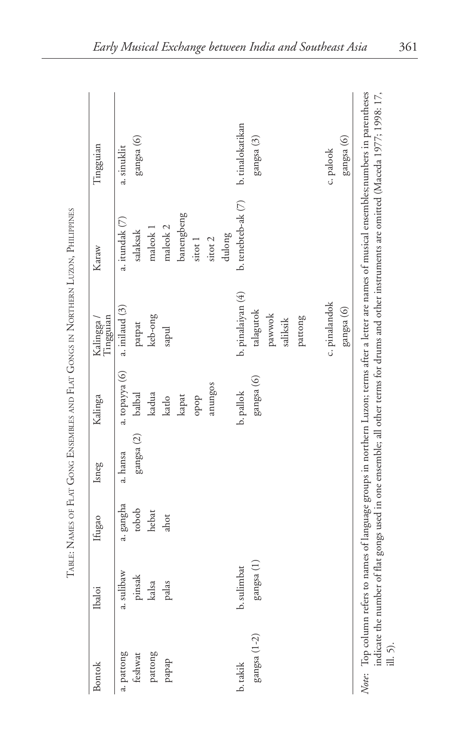| Bontok       | Ibaloi      | Ifugao    | Isneg               | Kalinga        | Tingguian<br>Kalingga / | Karaw               | Tingguian        |  |
|--------------|-------------|-----------|---------------------|----------------|-------------------------|---------------------|------------------|--|
| a. pattong   | a. sulibaw  | a. gangha | a. hansa            | a. topayya (6) | a. inilaud (3)          | a. itundak (7)      | a. sinuklit      |  |
| feshwat      | pinsak      | tobob     | $\rm{gangsa}$ $(2)$ | balbal         | patpat                  | salaksak            | gangsa (6)       |  |
| pattong      | kalsa       | hebat     |                     | kadua          | keb-ong                 | maleok 1            |                  |  |
| papap        | palas       | ahot      |                     | katlo          | sapul                   | maleok <sub>2</sub> |                  |  |
|              |             |           |                     | kapat          |                         | banengbeng          |                  |  |
|              |             |           |                     | dodo           |                         | sitot 1             |                  |  |
|              |             |           |                     | anungos        |                         | sitot 2             |                  |  |
|              |             |           |                     |                |                         | dulong              |                  |  |
| b. takik     | b. sulimbat |           |                     | b. pallok      | b. pinalaiyan (4)       | b. tenebteb-ak (7)  | b. tinalokatikan |  |
| gangsa (1-2) | gangsa (1)  |           |                     | gangsa (6)     | talagutok               |                     | gangsa (3)       |  |
|              |             |           |                     |                | pawwok                  |                     |                  |  |
|              |             |           |                     |                | saliksik                |                     |                  |  |
|              |             |           |                     |                | pattong                 |                     |                  |  |
|              |             |           |                     |                | c. pinalandok           |                     | c. palook        |  |
|              |             |           |                     |                | gangsa (6)              |                     | gangsa (6)       |  |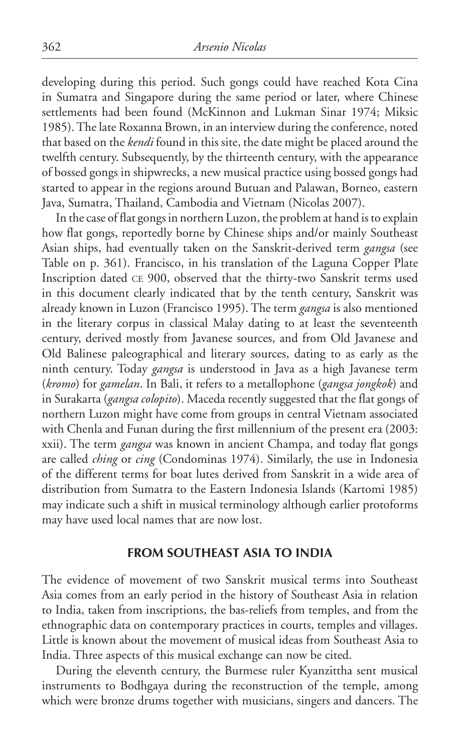developing during this period. Such gongs could have reached Kota Cina in Sumatra and Singapore during the same period or later, where Chinese settlements had been found (McKinnon and Lukman Sinar 1974; Miksic 1985). The late Roxanna Brown, in an interview during the conference, noted that based on the *kendi* found in this site, the date might be placed around the twelfth century. Subsequently, by the thirteenth century, with the appearance of bossed gongs in shipwrecks, a new musical practice using bossed gongs had started to appear in the regions around Butuan and Palawan, Borneo, eastern Java, Sumatra, Thailand, Cambodia and Vietnam (Nicolas 2007).

In the case of flat gongs in northern Luzon, the problem at hand is to explain how flat gongs, reportedly borne by Chinese ships and/or mainly Southeast Asian ships, had eventually taken on the Sanskrit-derived term *gangsa* (see Table on p. 361). Francisco, in his translation of the Laguna Copper Plate Inscription dated ce 900, observed that the thirty-two Sanskrit terms used in this document clearly indicated that by the tenth century, Sanskrit was already known in Luzon (Francisco 1995). The term *gangsa* is also mentioned in the literary corpus in classical Malay dating to at least the seventeenth century, derived mostly from Javanese sources, and from Old Javanese and Old Balinese paleographical and literary sources, dating to as early as the ninth century. Today *gangsa* is understood in Java as a high Javanese term (*kromo*) for *gamelan*. In Bali, it refers to a metallophone (*gangsa jongkok*) and in Surakarta (*gangsa colopito*). Maceda recently suggested that the flat gongs of northern Luzon might have come from groups in central Vietnam associated with Chenla and Funan during the first millennium of the present era (2003: xxii). The term *gangsa* was known in ancient Champa, and today flat gongs are called *ching* or *cing* (Condominas 1974). Similarly, the use in Indonesia of the different terms for boat lutes derived from Sanskrit in a wide area of distribution from Sumatra to the Eastern Indonesia Islands (Kartomi 1985) may indicate such a shift in musical terminology although earlier protoforms may have used local names that are now lost.

#### **From Southeast Asia to India**

The evidence of movement of two Sanskrit musical terms into Southeast Asia comes from an early period in the history of Southeast Asia in relation to India, taken from inscriptions, the bas-reliefs from temples, and from the ethnographic data on contemporary practices in courts, temples and villages. Little is known about the movement of musical ideas from Southeast Asia to India. Three aspects of this musical exchange can now be cited.

During the eleventh century, the Burmese ruler Kyanzittha sent musical instruments to Bodhgaya during the reconstruction of the temple, among which were bronze drums together with musicians, singers and dancers. The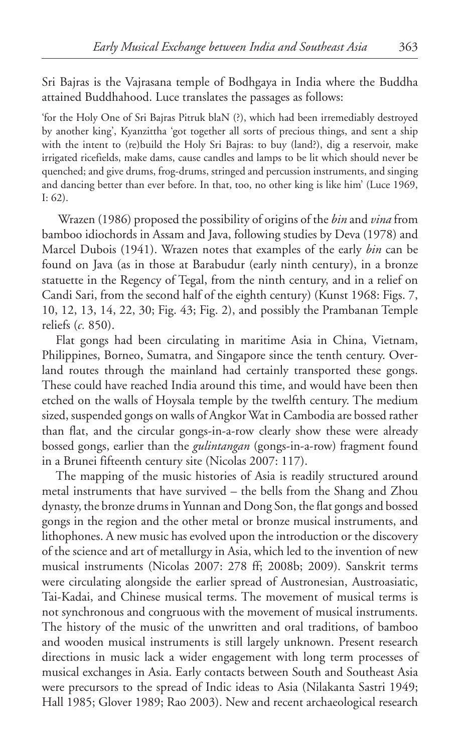Sri Bajras is the Vajrasana temple of Bodhgaya in India where the Buddha attained Buddhahood. Luce translates the passages as follows:

'for the Holy One of Sri Bajras Pitruk blaN (?), which had been irremediably destroyed by another king', Kyanzittha 'got together all sorts of precious things, and sent a ship with the intent to (re)build the Holy Sri Bajras: to buy (land?), dig a reservoir, make irrigated ricefields, make dams, cause candles and lamps to be lit which should never be quenched; and give drums, frog-drums, stringed and percussion instruments, and singing and dancing better than ever before. In that, too, no other king is like him' (Luce 1969, I: 62).

 Wrazen (1986) proposed the possibility of origins of the *bin* and *vina* from bamboo idiochords in Assam and Java, following studies by Deva (1978) and Marcel Dubois (1941). Wrazen notes that examples of the early *bin* can be found on Java (as in those at Barabudur (early ninth century), in a bronze statuette in the Regency of Tegal, from the ninth century, and in a relief on Candi Sari, from the second half of the eighth century) (Kunst 1968: Figs. 7, 10, 12, 13, 14, 22, 30; Fig. 43; Fig. 2), and possibly the Prambanan Temple reliefs (*c.* 850).

Flat gongs had been circulating in maritime Asia in China, Vietnam, Philippines, Borneo, Sumatra, and Singapore since the tenth century. Overland routes through the mainland had certainly transported these gongs. These could have reached India around this time, and would have been then etched on the walls of Hoysala temple by the twelfth century. The medium sized, suspended gongs on walls of Angkor Wat in Cambodia are bossed rather than flat, and the circular gongs-in-a-row clearly show these were already bossed gongs, earlier than the *gulintangan* (gongs-in-a-row) fragment found in a Brunei fifteenth century site (Nicolas 2007: 117).

The mapping of the music histories of Asia is readily structured around metal instruments that have survived – the bells from the Shang and Zhou dynasty, the bronze drums in Yunnan and Dong Son, the flat gongs and bossed gongs in the region and the other metal or bronze musical instruments, and lithophones. A new music has evolved upon the introduction or the discovery of the science and art of metallurgy in Asia, which led to the invention of new musical instruments (Nicolas 2007: 278 ff; 2008b; 2009). Sanskrit terms were circulating alongside the earlier spread of Austronesian, Austroasiatic, Tai-Kadai, and Chinese musical terms. The movement of musical terms is not synchronous and congruous with the movement of musical instruments. The history of the music of the unwritten and oral traditions, of bamboo and wooden musical instruments is still largely unknown. Present research directions in music lack a wider engagement with long term processes of musical exchanges in Asia. Early contacts between South and Southeast Asia were precursors to the spread of Indic ideas to Asia (Nilakanta Sastri 1949; Hall 1985; Glover 1989; Rao 2003). New and recent archaeological research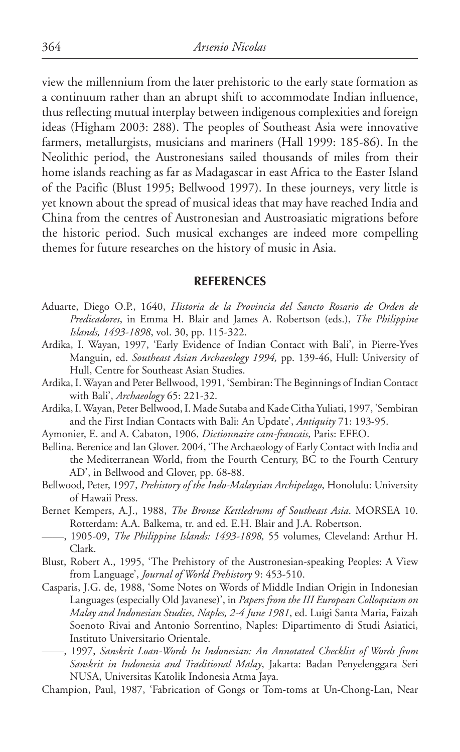view the millennium from the later prehistoric to the early state formation as a continuum rather than an abrupt shift to accommodate Indian influence, thus reflecting mutual interplay between indigenous complexities and foreign ideas (Higham 2003: 288). The peoples of Southeast Asia were innovative farmers, metallurgists, musicians and mariners (Hall 1999: 185-86). In the Neolithic period, the Austronesians sailed thousands of miles from their home islands reaching as far as Madagascar in east Africa to the Easter Island of the Pacific (Blust 1995; Bellwood 1997). In these journeys, very little is yet known about the spread of musical ideas that may have reached India and China from the centres of Austronesian and Austroasiatic migrations before the historic period. Such musical exchanges are indeed more compelling themes for future researches on the history of music in Asia.

#### **REFERENCES**

- Aduarte, Diego O.P., 1640, *Historia de la Provincia del Sancto Rosario de Orden de Predicadores*, in Emma H. Blair and James A. Robertson (eds.), *The Philippine Islands, 1493-1898*, vol. 30, pp. 115-322.
- Ardika, I. Wayan, 1997, 'Early Evidence of Indian Contact with Bali', in Pierre-Yves Manguin, ed. *Southeast Asian Archaeology 1994,* pp. 139-46, Hull: University of Hull, Centre for Southeast Asian Studies.
- Ardika, I. Wayan and Peter Bellwood, 1991, 'Sembiran: The Beginnings of Indian Contact with Bali', *Archaeology* 65: 221-32.
- Ardika, I. Wayan, Peter Bellwood, I. Made Sutaba and Kade Citha Yuliati, 1997, 'Sembiran and the First Indian Contacts with Bali: An Update', *Antiquity* 71: 193-95.
- Aymonier, E. and A. Cabaton, 1906, *Dictionnaire cam-francais*, Paris: EFEO.
- Bellina, Berenice and Ian Glover. 2004, 'The Archaeology of Early Contact with India and the Mediterranean World, from the Fourth Century, BC to the Fourth Century AD', in Bellwood and Glover, pp. 68-88.
- Bellwood, Peter, 1997, *Prehistory of the Indo-Malaysian Archipelago*, Honolulu: University of Hawaii Press.
- Bernet Kempers, A.J., 1988, *The Bronze Kettledrums of Southeast Asia*. MORSEA 10. Rotterdam: A.A. Balkema, tr. and ed. E.H. Blair and J.A. Robertson.
- ——, 1905-09, *The Philippine Islands: 1493-1898,* 55 volumes, Cleveland: Arthur H. Clark.
- Blust, Robert A., 1995, 'The prehistory of the Austronesian-speaking peoples: A view from language', *Journal of World Prehistory* 9: 453-510.
- Casparis, J.G. de, 1988, 'Some Notes on Words of Middle Indian Origin in Indonesian Languages (especially Old Javanese)', in *Papers from the III European Colloquium on Malay and Indonesian Studies, Naples, 2-4 June 1981*, ed. Luigi Santa Maria, Faizah Soenoto Rivai and Antonio Sorrentino, Naples: Dipartimento di Studi Asiatici, Instituto Universitario Orientale.
- ——, 1997, *Sanskrit Loan-Words In Indonesian: An Annotated Checklist of Words from Sanskrit in Indonesia and Traditional Malay*, Jakarta: Badan Penyelenggara Seri NUSA, Universitas Katolik Indonesia Atma Jaya.
- Champion, Paul, 1987, 'Fabrication of Gongs or Tom-toms at Un-Chong-Lan, Near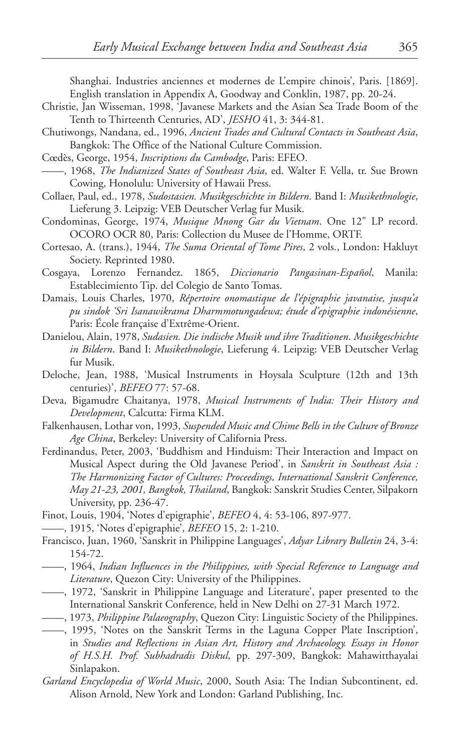Shanghai. Industries anciennes et modernes de L'empire chinois', Paris. [1869]. English translation in Appendix A, Goodway and Conklin, 1987, pp. 20-24.

- Christie, Jan Wisseman, 1998, 'Javanese Markets and the Asian Sea Trade Boom of the Tenth to Thirteenth Centuries, AD', *JESHO* 41, 3: 344-81.
- Chutiwongs, Nandana, ed., 1996, *Ancient Trades and Cultural Contacts in Southeast Asia*, Bangkok: The Office of the National Culture Commission.
- Cœdès, George, 1954, *Inscriptions du Cambodge*, Paris: EFEO.
- ——, 1968, *The Indianized States of Southeast Asia*, ed. Walter F. Vella, tr. Sue Brown Cowing, Honolulu: University of Hawaii Press.
- Collaer, Paul, ed., 1978, *Sudostasien. Musikgeschichte in Bildern*. Band I: *Musikethnologie*, Lieferung 3. Leipzig: VEB Deutscher Verlag fur Musik.
- Condominas, George, 1974, *Musique Mnong Gar du Vietnam*. One 12" LP record. OCORO OCR 80, Paris: Collection du Musee de l'Homme, ORTF.
- Cortesao, A. (trans.), 1944, *The Suma Oriental of Tome Pires*, 2 vols., London: Hakluyt Society. Reprinted 1980.
- Cosgaya, Lorenzo Fernandez. 1865, *Diccionario Pangasinan-Español*, Manila: Establecimiento Tip. del Colegio de Santo Tomas.
- Damais, Louis Charles, 1970, *Répertoire onomastique de l'épigraphie javanaise, jusqu'a pu sindok 'Sri Isanawikrama Dharmmotungadewa; étude d'epigraphie indonésienne*, Paris: École française d'Extrême-Orient.
- Danielou, Alain, 1978, *Sudasien. Die indische Musik und ihre Traditionen*. *Musikgeschichte in Bildern*. Band I: *Musikethnologie*, Lieferung 4. Leipzig: VEB Deutscher Verlag fur Musik.
- Deloche, Jean, 1988, 'Musical Instruments in Hoysala Sculpture (12th and 13th centuries)', *BEFEO* 77: 57-68.
- Deva, Bigamudre Chaitanya, 1978, *Musical Instruments of India: Their History and Development*, Calcutta: Firma KLM.
- Falkenhausen, Lothar von, 1993, *Suspended Music and Chime Bells in the Culture of Bronze Age China*, Berkeley: University of California Press.
- Ferdinandus, Peter, 2003, 'Buddhism and Hinduism: Their Interaction and Impact on Musical Aspect during the Old Javanese Period', in *Sanskrit in Southeast Asia : The Harmonizing Factor of Cultures: Proceedings, International Sanskrit Conference, May 21-23, 2001, Bangkok, Thailand*, Bangkok: Sanskrit Studies Center, Silpakorn University, pp. 236-47.
- Finot, Louis, 1904, 'Notes d'epigraphie', *BEFEO* 4, 4: 53-106, 897-977.
- ——, 1915, 'Notes d'epigraphie', *BEFEO* 15, 2: 1-210.
- Francisco, Juan, 1960, 'Sanskrit in Philippine Languages', *Adyar Library Bulletin* 24, 3-4: 154-72.
- ——, 1964, *Indian Influences in the Philippines, with special reference to language and literature*, Quezon City: University of the Philippines.
- ——, 1972, 'Sanskrit in Philippine language and literature', paper presented to the International Sanskrit Conference, held in New Delhi on 27-31 March 1972.
- ——, 1973, *Philippine Palaeography*, Quezon City: Linguistic Society of the Philippines.
- ——, 1995, 'Notes on the Sanskrit Terms in the Laguna Copper Plate Inscription', in *Studies and Reflections in Asian Art, History and Archaeology. Essays in Honor of H.S.H. Prof. Subhadradis Diskul*, pp. 297-309, Bangkok: Mahawitthayalai Sinlapakon.
- *Garland Encyclopedia of World Music*, 2000, South Asia: The Indian Subcontinent, ed. Alison Arnold, New York and London: Garland Publishing, Inc.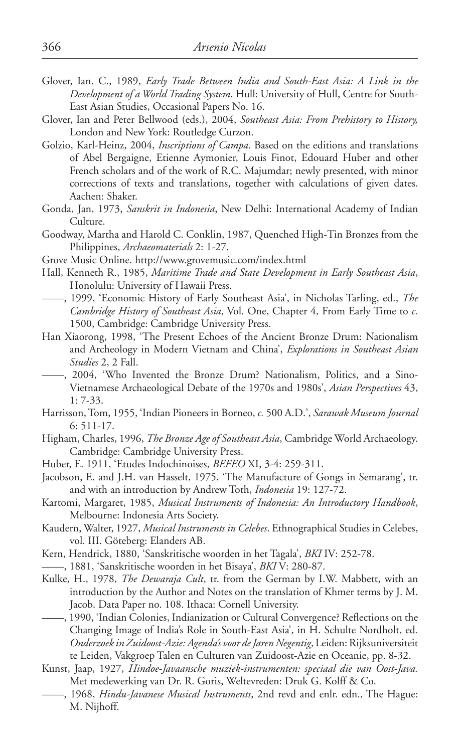- Glover, Ian. C., 1989, *Early Trade Between India and South-East Asia: A Link in the Development of a World Trading System*, Hull: University of Hull, Centre for South-East Asian Studies, Occasional Papers No. 16.
- Glover, Ian and Peter Bellwood (eds.), 2004, *Southeast Asia: From Prehistory to History,* London and New York: Routledge Curzon.
- Golzio, Karl-Heinz, 2004, *Inscriptions of Campa*. Based on the editions and translations of Abel Bergaigne, Etienne Aymonier, Louis Finot, Edouard Huber and other French scholars and of the work of R.C. Majumdar; newly presented, with minor corrections of texts and translations, together with calculations of given dates. Aachen: Shaker.
- Gonda, Jan, 1973, *Sanskrit in Indonesia*, New Delhi: International Academy of Indian Culture.
- Goodway, Martha and Harold C. Conklin, 1987, Quenched High-Tin Bronzes from the Philippines, *Archaeomaterials* 2: 1-27.
- Grove Music Online. http://www.grovemusic.com/index.html
- Hall, Kenneth R., 1985, *Maritime Trade and State Development in Early Southeast Asia*, Honolulu: University of Hawaii Press.
- ——, 1999, 'Economic History of Early Southeast Asia', in Nicholas Tarling, ed., *The Cambridge History of Southeast Asia*, Vol. One, Chapter 4, From Early Time to *c*. 1500, Cambridge: Cambridge University Press.
- Han Xiaorong, 1998, 'The Present Echoes of the Ancient Bronze Drum: Nationalism and Archeology in Modern Vietnam and China', *Explorations in Southeast Asian Studies* 2, 2 Fall.
- ——, 2004, 'Who Invented the Bronze Drum? Nationalism, Politics, and a Sino-Vietnamese Archaeological Debate of the 1970s and 1980s', *Asian Perspectives* 43, 1: 7-33.
- Harrisson, Tom, 1955, 'Indian Pioneers in Borneo, *c.* 500 A.D.', *Sarawak Museum Journal*  6: 511-17.
- Higham, Charles, 1996, *The Bronze Age of Southeast Asia*, Cambridge World Archaeology. Cambridge: Cambridge University Press.
- Huber, E. 1911, 'Etudes Indochinoises, *BEFEO* XI, 3-4: 259-311.
- Jacobson, E. and J.H. van Hasselt, 1975, 'The Manufacture of Gongs in Semarang', tr. and with an introduction by Andrew Toth, *Indonesia* 19: 127-72.
- Kartomi, Margaret, 1985, *Musical instruments of Indonesia: An Introductory Handbook*, Melbourne: Indonesia Arts Society.
- Kaudern, Walter, 1927, *Musical Instruments in Celebes*. Ethnographical Studies in Celebes, vol. III. Göteberg: Elanders AB.
- Kern, Hendrick, 1880, 'Sanskritische woorden in het Tagala', *BKI* IV: 252-78.
- ——, 1881, 'Sanskritische woorden in het Bisaya', *BKI* V: 280-87.
- Kulke, H., 1978, *The Dewaraja Cult*, tr. from the German by I.W. Mabbett, with an introduction by the Author and Notes on the translation of Khmer terms by J. M. Jacob. Data Paper no. 108. Ithaca: Cornell University.
- ——, 1990, 'Indian Colonies, Indianization or Cultural Convergence? Reflections on the Changing Image of India's Role in South-East Asia', in H. Schulte Nordholt, ed*. Onderzoek in Zuidoost-Azie: Agenda's voor de Jaren Negentig*, Leiden: Rijksuniversiteit te Leiden, Vakgroep Talen en Culturen van Zuidoost-Azie en Oceanie, pp. 8-32.
- Kunst, Jaap, 1927, *Hindoe-Javaansche muziek-instrumenten: speciaal die van Oost-Java.* Met medewerking van Dr. R. Goris, Weltevreden: Druk G. Kolff & Co.
- ——, 1968, *Hindu-Javanese Musical Instruments*, 2nd revd and enlr. edn., The Hague: M. Nijhoff.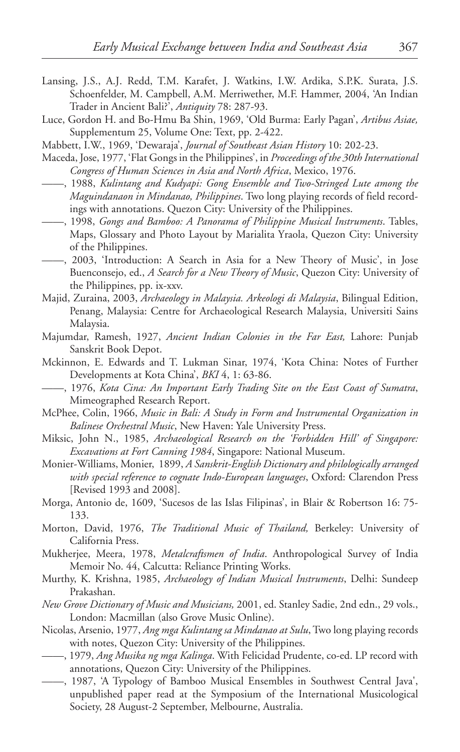- Lansing, J.S., A.J. Redd, T.M. Karafet, J. Watkins, I.W. Ardika, S.P.K. Surata, J.S. Schoenfelder, M. Campbell, A.M. Merriwether, M.F. Hammer, 2004, 'An Indian Trader in Ancient Bali?', *Antiquity* 78: 287-93.
- Luce, Gordon H. and Bo-Hmu Ba Shin, 1969, 'Old Burma: Early Pagan', *Artibus Asiae,*  Supplementum 25, Volume One: Text, pp. 2-422.
- Mabbett, I.W., 1969, 'Dewaraja', *Journal of Southeast Asian History* 10: 202-23.
- Maceda, Jose, 1977, 'Flat Gongs in the Philippines', in *Proceedings of the 30th International Congress of Human Sciences in Asia and North Africa*, Mexico, 1976.
- ——, 1988, *Kulintang and Kudyapi: Gong Ensemble and Two-Stringed Lute among the Maguindanaon in Mindanao, Philippines*. Two long playing records of field recordings with annotations. Quezon City: University of the Philippines.
- ——, 1998, *Gongs and Bamboo: A Panorama of Philippine Musical Instruments*. Tables, Maps, Glossary and Photo Layout by Marialita Yraola, Quezon City: University of the Philippines.
- ——, 2003, 'Introduction: A Search in Asia for a New Theory of Music', in Jose Buenconsejo, ed., *A Search for a New Theory of Music*, Quezon City: University of the Philippines, pp. ix-xxv.
- Majid, Zuraina, 2003, *Archaeology in Malaysia. Arkeologi di Malaysia*, Bilingual Edition, Penang, Malaysia: Centre for Archaeological Research Malaysia, Universiti Sains Malaysia.
- Majumdar, Ramesh, 1927, *Ancient Indian Colonies in the Far East,* Lahore: Punjab Sanskrit Book Depot.
- Mckinnon, E. Edwards and T. Lukman Sinar, 1974, 'Kota China: Notes of Further Developments at Kota China', *BKI* 4, 1: 63-86.
- ——, 1976, *Kota Cina: An Important Early Trading Site on the East Coast of Sumatra*, Mimeographed Research Report.
- McPhee, Colin, 1966, *Music in Bali: A Study in Form and Instrumental Organization in Balinese Orchestral Music*, New Haven: Yale University Press.
- Miksic, John N., 1985, *Archaeological Research on the 'Forbidden Hill' of Singapore: Excavations at Fort Canning 1984*, Singapore: National Museum.
- Monier-Williams, Monier, 1899, *A Sanskrit-English Dictionary and philologically arranged with special reference to cognate Indo-European languages*, Oxford: Clarendon Press [Revised 1993 and 2008].
- Morga, Antonio de, 1609, 'Sucesos de las Islas Filipinas', in Blair & Robertson 16: 75- 133.
- Morton, David, 1976, *The Traditional Music of Thailand,* Berkeley: University of California Press.
- Mukherjee, Meera, 1978, *Metalcraftsmen of India*. Anthropological Survey of India Memoir No. 44, Calcutta: Reliance Printing Works.
- Murthy, K. Krishna, 1985, *Archaeology of Indian Musical Instruments*, Delhi: Sundeep Prakashan.
- *New Grove Dictionary of Music and Musicians,* 2001, ed. Stanley Sadie, 2nd edn., 29 vols., London: Macmillan (also Grove Music Online).
- Nicolas, Arsenio, 1977, *Ang mga Kulintang sa Mindanao at Sulu*, Two long playing records with notes, Quezon City: University of the Philippines.
- ——, 1979, *Ang Musika ng mga Kalinga*. With Felicidad Prudente, co-ed. LP record with annotations, Quezon City: University of the Philippines.
- ——, 1987, 'A Typology of Bamboo Musical Ensembles in Southwest Central Java', unpublished paper read at the Symposium of the International Musicological Society, 28 August-2 September, Melbourne, Australia.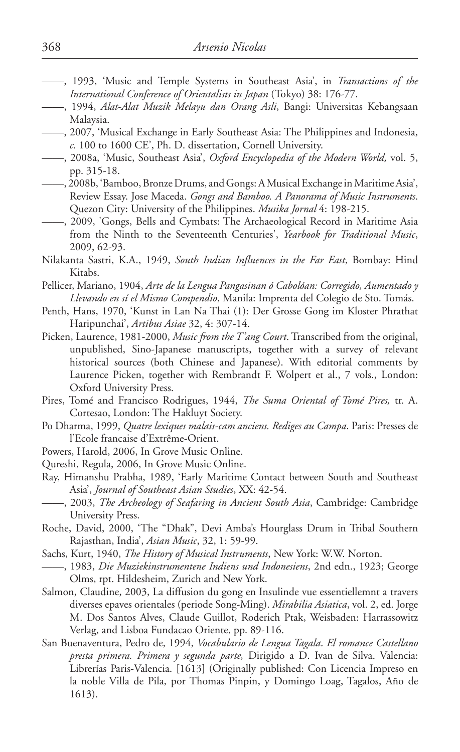- ——, 1993, 'Music and Temple Systems in Southeast Asia', in *Transactions of the International Conference of Orientalists in Japan* (Tokyo) 38: 176-77.
- ——, 1994, *Alat-Alat Muzik Melayu dan Orang Asli*, Bangi: Universitas Kebangsaan Malaysia.
- ——, 2007, 'Musical Exchange in Early Southeast Asia: The Philippines and Indonesia, *c.* 100 to 1600 CE', Ph. D. dissertation, Cornell University.
- ——, 2008a, 'Music, Southeast Asia', *Oxford Encyclopedia of the Modern World,* vol. 5, pp. 315-18.
- ——, 2008b, 'Bamboo, Bronze Drums, and Gongs: A Musical Exchange in Maritime Asia', Review Essay. Jose Maceda. *Gongs and Bamboo. A Panorama of Music Instruments*. Quezon City: University of the Philippines. *Musika Jornal* 4: 198-215.
- ——, 2009, 'Gongs, Bells and Cymbats: The Archaeological Record in Maritime Asia from the Ninth to the Seventeenth Centuries', *Yearbook for Traditional Music*, 2009, 62-93.
- Nilakanta Sastri, K.A., 1949, *South Indian Influences in the Far East*, Bombay: Hind Kitabs.
- Pellicer, Mariano, 1904, *Arte de la Lengua Pangasinan ó Cabolóan: Corregido, Aumentado y Llevando en sí el Mismo Compendio*, Manila: Imprenta del Colegio de Sto. Tomás.
- Penth, Hans, 1970, 'Kunst in Lan Na Thai (1): Der Grosse Gong im Kloster Phrathat Haripunchai', *Artibus Asiae* 32, 4: 307-14.
- Picken, Laurence, 1981-2000, *Music from the T'ang Court*. Transcribed from the original, unpublished, Sino-Japanese manuscripts, together with a survey of relevant historical sources (both Chinese and Japanese). With editorial comments by Laurence Picken, together with Rembrandt F. Wolpert et al., 7 vols., London: Oxford University Press.
- Pires, Tomé and Francisco Rodrigues, 1944, *The Suma Oriental of Tomé Pires,* tr. A. Cortesao, London: The Hakluyt Society.
- Po Dharma, 1999, *Quatre lexiques malais-cam anciens. Rediges au Campa*. Paris: Presses de l'Ecole francaise d'Extrême-Orient.
- Powers, Harold, 2006, In Grove Music Online.
- Qureshi, Regula, 2006, In Grove Music Online.
- Ray, Himanshu Prabha, 1989, 'Early Maritime Contact between South and Southeast Asia', *Journal of Southeast Asian Studies*, XX: 42-54.
- ——, 2003, *The Archeology of Seafaring in Ancient South Asia*, Cambridge: Cambridge University Press.
- Roche, David, 2000, 'The "Dhak", Devi Amba's Hourglass Drum in Tribal Southern Rajasthan, India', *Asian Music*, 32, 1: 59-99.
- Sachs, Kurt, 1940, *The History of Musical Instruments*, New York: W.W. Norton.
- ——, 1983, *Die Muziekinstrumentene Indiens und Indonesiens*, 2nd edn., 1923; George Olms, rpt. Hildesheim, Zurich and New York.
- Salmon, Claudine, 2003, La diffusion du gong en Insulinde vue essentiellemnt a travers diverses epaves orientales (periode Song-Ming). *Mirabilia Asiatica*, vol. 2, ed. Jorge M. Dos Santos Alves, Claude Guillot, Roderich Ptak, Weisbaden: Harrassowitz Verlag, and Lisboa Fundacao Oriente, pp. 89-116.
- San Buenaventura, Pedro de, 1994, *Vocabulario de Lengua Tagala*. *El romance Castellano presta primera. Primera y segunda parte,* Dirigido a D. Ivan de Silva. Valencia: Librerías Paris-Valencia. [1613] (Originally published: Con Licencia Impreso en la noble Villa de Pila, por Thomas Pinpin, y Domingo Loag, Tagalos, Año de 1613).